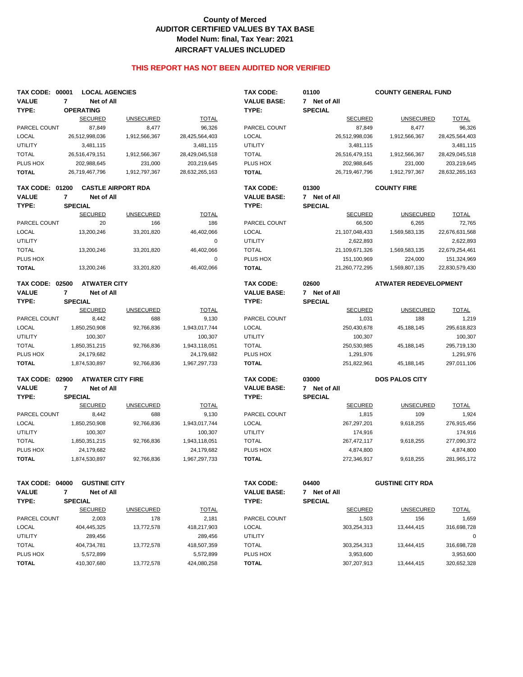## **County of Merced AUDITOR CERTIFIED VALUES BY TAX BASE Model Num: final, Tax Year: 2021 AIRCRAFT VALUES INCLUDED**

## **THIS REPORT HAS NOT BEEN AUDITED NOR VERIFIED**

| <b>TAX CODE: 00001</b> | <b>LOCAL AGENCIES</b>               |                           |                        | <b>TAX CODE:</b>   | 01100                   | <b>COUNTY GENERAL FUND</b>   |                |
|------------------------|-------------------------------------|---------------------------|------------------------|--------------------|-------------------------|------------------------------|----------------|
| <b>VALUE</b>           | 7<br>Net of All                     |                           |                        | <b>VALUE BASE:</b> | 7 Net of All            |                              |                |
| TYPE:                  | <b>OPERATING</b>                    |                           |                        | TYPE:              | <b>SPECIAL</b>          |                              |                |
|                        | <b>SECURED</b>                      | <b>UNSECURED</b>          | <b>TOTAL</b>           |                    | <b>SECURED</b>          | <b>UNSECURED</b>             | <b>TOTAL</b>   |
| PARCEL COUNT           | 87,849                              | 8,477                     | 96,326                 | PARCEL COUNT       | 87,849                  | 8,477                        | 96,326         |
| <b>LOCAL</b>           | 26,512,998,036                      | 1,912,566,367             | 28,425,564,403         | <b>LOCAL</b>       | 26,512,998,036          | 1,912,566,367                | 28,425,564,403 |
| <b>UTILITY</b>         | 3,481,115                           |                           | 3,481,115              | <b>UTILITY</b>     | 3,481,115               |                              | 3,481,115      |
| <b>TOTAL</b>           | 26,516,479,151                      | 1,912,566,367             | 28,429,045,518         | <b>TOTAL</b>       | 26,516,479,151          | 1,912,566,367                | 28,429,045,518 |
| PLUS HOX               | 202,988,645                         | 231,000                   | 203,219,645            | PLUS HOX           | 202,988,645             | 231,000                      | 203,219,645    |
| <b>TOTAL</b>           | 26,719,467,796                      | 1,912,797,367             | 28,632,265,163         | <b>TOTAL</b>       | 26,719,467,796          | 1,912,797,367                | 28,632,265,163 |
| <b>TAX CODE: 01200</b> |                                     | <b>CASTLE AIRPORT RDA</b> |                        | <b>TAX CODE:</b>   | 01300                   | <b>COUNTY FIRE</b>           |                |
| <b>VALUE</b>           | $\overline{7}$<br>Net of All        |                           |                        | <b>VALUE BASE:</b> | 7 Net of All            |                              |                |
| TYPE:                  | <b>SPECIAL</b>                      |                           |                        | TYPE:              | <b>SPECIAL</b>          |                              |                |
|                        | <b>SECURED</b>                      | <b>UNSECURED</b>          | <b>TOTAL</b>           |                    | <b>SECURED</b>          | <b>UNSECURED</b>             | <b>TOTAL</b>   |
| PARCEL COUNT           | 20                                  | 166                       | 186                    | PARCEL COUNT       | 66,500                  | 6,265                        | 72,765         |
| <b>LOCAL</b>           | 13,200,246                          | 33,201,820                | 46,402,066             | <b>LOCAL</b>       | 21,107,048,433          | 1,569,583,135                | 22,676,631,568 |
| <b>UTILITY</b>         |                                     |                           | 0                      | <b>UTILITY</b>     | 2,622,893               |                              | 2,622,893      |
| <b>TOTAL</b>           | 13,200,246                          | 33,201,820                | 46,402,066             | <b>TOTAL</b>       | 21,109,671,326          | 1,569,583,135                | 22,679,254,461 |
| PLUS HOX               |                                     |                           | $\pmb{0}$              | PLUS HOX           | 151,100,969             | 224,000                      | 151,324,969    |
| <b>TOTAL</b>           | 13,200,246                          | 33,201,820                | 46,402,066             | <b>TOTAL</b>       | 21,260,772,295          | 1,569,807,135                | 22,830,579,430 |
| <b>TAX CODE: 02500</b> | <b>ATWATER CITY</b>                 |                           |                        | <b>TAX CODE:</b>   | 02600                   | <b>ATWATER REDEVELOPMENT</b> |                |
| <b>VALUE</b>           | $\overline{7}$<br><b>Net of All</b> |                           |                        | <b>VALUE BASE:</b> | 7 Net of All            |                              |                |
| TYPE:                  | <b>SPECIAL</b>                      |                           |                        | TYPE:              | <b>SPECIAL</b>          |                              |                |
|                        | <b>SECURED</b>                      | <b>UNSECURED</b>          | <b>TOTAL</b>           |                    | <b>SECURED</b>          | <b>UNSECURED</b>             | <b>TOTAL</b>   |
| PARCEL COUNT           | 8,442                               | 688                       | 9,130                  | PARCEL COUNT       | 1,031                   | 188                          | 1,219          |
| <b>LOCAL</b>           | 1,850,250,908                       | 92,766,836                | 1,943,017,744          | <b>LOCAL</b>       | 250,430,678             | 45,188,145                   | 295,618,823    |
| <b>UTILITY</b>         | 100,307                             |                           | 100,307                | <b>UTILITY</b>     | 100,307                 |                              | 100,307        |
| <b>TOTAL</b>           | 1,850,351,215                       | 92,766,836                | 1,943,118,051          | <b>TOTAL</b>       | 250,530,985             | 45,188,145                   | 295,719,130    |
| PLUS HOX               | 24,179,682                          |                           | 24,179,682             | PLUS HOX           | 1,291,976               |                              | 1,291,976      |
| <b>TOTAL</b>           | 1,874,530,897                       | 92,766,836                | 1,967,297,733          | <b>TOTAL</b>       | 251,822,961             | 45,188,145                   | 297,011,106    |
| <b>TAX CODE: 02900</b> |                                     | <b>ATWATER CITY FIRE</b>  |                        | <b>TAX CODE:</b>   | 03000                   | <b>DOS PALOS CITY</b>        |                |
| <b>VALUE</b>           | Net of All<br>7                     |                           |                        | <b>VALUE BASE:</b> | 7 Net of All            |                              |                |
| TYPE:                  | <b>SPECIAL</b>                      |                           |                        | TYPE:              | <b>SPECIAL</b>          |                              |                |
|                        | <b>SECURED</b>                      | <b>UNSECURED</b>          | <b>TOTAL</b>           |                    | <b>SECURED</b>          | <b>UNSECURED</b>             | <b>TOTAL</b>   |
| PARCEL COUNT           | 8,442                               | 688                       | 9,130                  | PARCEL COUNT       | 1,815                   | 109                          | 1,924          |
| <b>LOCAL</b>           | 1,850,250,908                       | 92,766,836                | 1,943,017,744          | <b>LOCAL</b>       | 267,297,201             | 9,618,255                    | 276,915,456    |
| <b>UTILITY</b>         | 100,307                             |                           | 100,307                | <b>UTILITY</b>     | 174,916                 |                              | 174,916        |
| <b>TOTAL</b>           | 1,850,351,215                       | 92,766,836                | 1,943,118,051          | <b>TOTAL</b>       | 267,472,117             | 9,618,255                    | 277,090,372    |
| PLUS HOX               | 24,179,682                          |                           | 24,179,682             | PLUS HOX           | 4,874,800               |                              | 4,874,800      |
| <b>TOTAL</b>           | 1,874,530,897                       | 92,766,836                | 1,967,297,733          | <b>TOTAL</b>       | 272,346,917             | 9,618,255                    | 281,965,172    |
|                        |                                     |                           |                        |                    |                         |                              |                |
| <b>TAX CODE: 04000</b> | <b>GUSTINE CITY</b>                 |                           |                        | <b>TAX CODE:</b>   | 04400                   | <b>GUSTINE CITY RDA</b>      |                |
| <b>VALUE</b>           | $\overline{7}$<br>Net of All        |                           |                        | <b>VALUE BASE:</b> | 7 Net of All            |                              |                |
| TYPE:                  | <b>SPECIAL</b><br><b>SECURED</b>    | <b>UNSECURED</b>          | <b>TOTAL</b>           | TYPE:              | <b>SPECIAL</b>          |                              | <b>TOTAL</b>   |
| PARCEL COUNT           | 2,003                               | 178                       | 2,181                  | PARCEL COUNT       | <b>SECURED</b><br>1,503 | <b>UNSECURED</b><br>156      | 1,659          |
| <b>LOCAL</b>           |                                     |                           |                        |                    | 303,254,313             | 13,444,415                   |                |
| <b>UTILITY</b>         | 404,445,325<br>289,456              | 13,772,578                | 418,217,903<br>289,456 | <b>LOCAL</b>       |                         |                              | 316,698,728    |
|                        |                                     |                           |                        | <b>UTILITY</b>     |                         |                              | 0              |
| <b>TOTAL</b>           | 404,734,781                         | 13,772,578                | 418,507,359            | <b>TOTAL</b>       | 303,254,313             | 13,444,415                   | 316,698,728    |
| PLUS HOX               | 5,572,899                           |                           | 5,572,899              | PLUS HOX           | 3,953,600               |                              | 3,953,600      |
| <b>TOTAL</b>           | 410,307,680                         | 13,772,578                | 424,080,258            | <b>TOTAL</b>       | 307,207,913             | 13,444,415                   | 320,652,328    |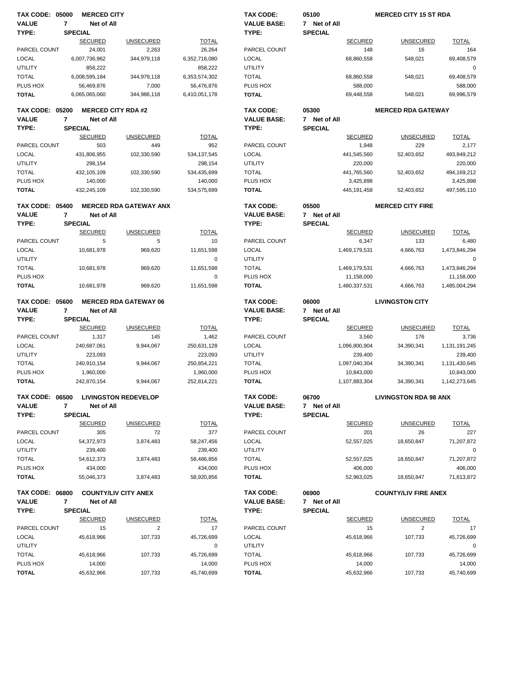| <b>TAX CODE: 05000</b>                 |                | <b>MERCED CITY</b>           |                               |                       | TAX CODE:                       | 05100                 | <b>MERCED CITY 15 ST RDA</b> |                       |
|----------------------------------------|----------------|------------------------------|-------------------------------|-----------------------|---------------------------------|-----------------------|------------------------------|-----------------------|
| <b>VALUE</b>                           | 7              | Net of All                   |                               |                       | <b>VALUE BASE:</b>              | 7 Net of All          |                              |                       |
| TYPE:                                  |                | <b>SPECIAL</b>               |                               |                       | TYPE:                           | <b>SPECIAL</b>        |                              |                       |
|                                        |                | <b>SECURED</b>               | <b>UNSECURED</b>              | <b>TOTAL</b>          |                                 | <b>SECURED</b>        | <b>UNSECURED</b>             | <b>TOTAL</b>          |
| PARCEL COUNT                           |                | 24,001                       | 2,263                         | 26,264                | PARCEL COUNT                    |                       | 16<br>148                    | 164                   |
| <b>LOCAL</b>                           |                | 6,007,736,962                | 344,979,118                   | 6,352,716,080         | LOCAL                           | 68,860,558            | 548,021                      | 69,408,579            |
| <b>UTILITY</b>                         |                | 858,222                      |                               | 858,222               | <b>UTILITY</b>                  |                       |                              | $\mathbf 0$           |
| <b>TOTAL</b>                           |                | 6,008,595,184                | 344,979,118                   | 6,353,574,302         | <b>TOTAL</b>                    | 68,860,558            | 548,021                      | 69,408,579            |
| PLUS HOX                               |                | 56,469,876                   | 7,000                         | 56,476,876            | PLUS HOX                        | 588,000               |                              | 588,000               |
| <b>TOTAL</b>                           |                | 6,065,065,060                | 344,986,118                   | 6,410,051,178         | <b>TOTAL</b>                    | 69,448,558            | 548,021                      | 69,996,579            |
| <b>TAX CODE: 05200</b>                 |                |                              | <b>MERCED CITY RDA #2</b>     |                       | <b>TAX CODE:</b>                | 05300                 | <b>MERCED RDA GATEWAY</b>    |                       |
| <b>VALUE</b>                           | $\overline{7}$ | Net of All                   |                               |                       | <b>VALUE BASE:</b>              | 7 Net of All          |                              |                       |
| TYPE:                                  |                | <b>SPECIAL</b>               |                               |                       | TYPE:                           | <b>SPECIAL</b>        |                              |                       |
|                                        |                | <b>SECURED</b>               | <b>UNSECURED</b>              | <b>TOTAL</b>          |                                 | <b>SECURED</b>        | <b>UNSECURED</b>             | <b>TOTAL</b>          |
| PARCEL COUNT                           |                | 503                          | 449                           | 952                   | PARCEL COUNT                    | 1,948                 | 229                          | 2,177                 |
| <b>LOCAL</b>                           |                | 431,806,955                  | 102,330,590                   | 534, 137, 545         | <b>LOCAL</b>                    | 441,545,560           | 52,403,652                   | 493,949,212           |
| <b>UTILITY</b>                         |                | 298,154                      |                               | 298,154               | <b>UTILITY</b>                  | 220,000               |                              | 220,000               |
| <b>TOTAL</b>                           |                | 432, 105, 109                | 102,330,590                   | 534,435,699           | <b>TOTAL</b>                    | 441,765,560           | 52,403,652                   | 494,169,212           |
| PLUS HOX                               |                | 140,000                      |                               | 140,000               | PLUS HOX                        | 3,425,898             |                              | 3,425,898             |
| <b>TOTAL</b>                           |                | 432,245,109                  | 102,330,590                   | 534,575,699           | <b>TOTAL</b>                    | 445, 191, 458         | 52,403,652                   | 497,595,110           |
| <b>TAX CODE: 05400</b>                 |                |                              | <b>MERCED RDA GATEWAY ANX</b> |                       | <b>TAX CODE:</b>                | 05500                 | <b>MERCED CITY FIRE</b>      |                       |
| <b>VALUE</b>                           | $\overline{7}$ | Net of All                   |                               |                       | <b>VALUE BASE:</b>              | 7 Net of All          |                              |                       |
| TYPE:                                  |                | <b>SPECIAL</b>               |                               |                       | TYPE:                           | <b>SPECIAL</b>        |                              |                       |
|                                        |                | <b>SECURED</b>               | <b>UNSECURED</b>              | <b>TOTAL</b>          |                                 | <b>SECURED</b>        | <b>UNSECURED</b>             | <b>TOTAL</b>          |
| PARCEL COUNT                           |                | 5                            | 5                             | 10                    | PARCEL COUNT                    | 6,347                 | 133                          | 6,480                 |
| LOCAL                                  |                | 10,681,978                   | 969,620                       | 11,651,598            | <b>LOCAL</b>                    | 1,469,179,531         | 4,666,763                    | 1,473,846,294         |
| <b>UTILITY</b>                         |                |                              |                               | $\mathbf 0$           | <b>UTILITY</b>                  |                       |                              | 0                     |
| <b>TOTAL</b>                           |                | 10,681,978                   | 969,620                       | 11,651,598            | <b>TOTAL</b>                    | 1,469,179,531         | 4,666,763                    | 1,473,846,294         |
| PLUS HOX                               |                |                              |                               | 0                     | PLUS HOX                        | 11,158,000            |                              | 11,158,000            |
| <b>TOTAL</b>                           |                | 10,681,978                   | 969,620                       | 11,651,598            | <b>TOTAL</b>                    | 1,480,337,531         | 4,666,763                    | 1,485,004,294         |
|                                        |                |                              |                               |                       |                                 |                       | <b>LIVINGSTON CITY</b>       |                       |
| <b>TAX CODE: 05600</b><br><b>VALUE</b> |                |                              | <b>MERCED RDA GATEWAY 06</b>  |                       | TAX CODE:<br><b>VALUE BASE:</b> | 06000<br>7 Net of All |                              |                       |
| TYPE:                                  | 7              | Net of All<br><b>SPECIAL</b> |                               |                       | TYPE:                           | <b>SPECIAL</b>        |                              |                       |
|                                        |                | <b>SECURED</b>               | <b>UNSECURED</b>              | <b>TOTAL</b>          |                                 | <b>SECURED</b>        | <b>UNSECURED</b>             | <b>TOTAL</b>          |
| PARCEL COUNT                           |                | 1,317                        | 145                           | 1,462                 | PARCEL COUNT                    | 3,560                 | 176                          | 3,736                 |
| <b>LOCAL</b>                           |                | 240,687,061                  | 9,944,067                     | 250,631,128           | LOCAL                           | 1,096,800,904         | 34,390,341                   | 1,131,191,245         |
| <b>UTILITY</b>                         |                | 223,093                      |                               | 223,093               | <b>UTILITY</b>                  | 239,400               |                              | 239,400               |
| <b>TOTAL</b>                           |                | 240,910,154                  | 9,944,067                     | 250,854,221           | <b>TOTAL</b>                    | 1,097,040,304         | 34,390,341                   | 1,131,430,645         |
| PLUS HOX                               |                | 1,960,000                    |                               | 1,960,000             | PLUS HOX                        | 10,843,000            |                              | 10,843,000            |
| <b>TOTAL</b>                           |                | 242,870,154                  | 9,944,067                     | 252,814,221           | <b>TOTAL</b>                    | 1,107,883,304         | 34,390,341                   | 1,142,273,645         |
|                                        |                |                              |                               |                       |                                 |                       |                              |                       |
| <b>TAX CODE: 06500</b>                 |                |                              | <b>LIVINGSTON REDEVELOP</b>   |                       | TAX CODE:                       | 06700                 | <b>LIVINGSTON RDA 98 ANX</b> |                       |
| <b>VALUE</b>                           | 7              | Net of All                   |                               |                       | <b>VALUE BASE:</b>              | 7 Net of All          |                              |                       |
| TYPE:                                  |                | <b>SPECIAL</b>               |                               |                       | TYPE:                           | <b>SPECIAL</b>        |                              |                       |
|                                        |                | <b>SECURED</b>               | <b>UNSECURED</b>              | <b>TOTAL</b>          |                                 | <b>SECURED</b>        | <b>UNSECURED</b>             | <b>TOTAL</b>          |
| PARCEL COUNT                           |                | 305                          | 72                            | 377                   | PARCEL COUNT                    |                       | 201<br>26                    | 227                   |
| <b>LOCAL</b>                           |                | 54,372,973                   | 3,874,483                     | 58,247,456            | <b>LOCAL</b>                    | 52,557,025            | 18,650,847                   | 71,207,872            |
| <b>UTILITY</b>                         |                | 239,400                      |                               | 239,400               | <b>UTILITY</b>                  |                       |                              | 0                     |
| <b>TOTAL</b>                           |                | 54,612,373                   | 3,874,483                     | 58,486,856            | <b>TOTAL</b>                    | 52,557,025            | 18,650,847                   | 71,207,872            |
| PLUS HOX<br><b>TOTAL</b>               |                | 434,000<br>55,046,373        | 3,874,483                     | 434,000<br>58,920,856 | PLUS HOX<br><b>TOTAL</b>        | 406,000<br>52,963,025 | 18,650,847                   | 406,000<br>71,613,872 |
|                                        |                |                              |                               |                       |                                 |                       |                              |                       |
| <b>TAX CODE: 06800</b>                 |                |                              | <b>COUNTY/LIV CITY ANEX</b>   |                       | TAX CODE:                       | 06900                 | <b>COUNTY/LIV FIRE ANEX</b>  |                       |
| <b>VALUE</b>                           | 7              | Net of All                   |                               |                       | <b>VALUE BASE:</b>              | 7 Net of All          |                              |                       |
| TYPE:                                  |                | <b>SPECIAL</b>               |                               |                       | TYPE:                           | <b>SPECIAL</b>        |                              |                       |
|                                        |                | <b>SECURED</b>               | <b>UNSECURED</b>              | <b>TOTAL</b>          |                                 | <b>SECURED</b>        | <b>UNSECURED</b>             | <b>TOTAL</b>          |
| PARCEL COUNT                           |                | 15                           | 2                             | 17                    | PARCEL COUNT                    |                       | 2<br>15                      | 17                    |
| <b>LOCAL</b>                           |                | 45,618,966                   | 107,733                       | 45,726,699            | <b>LOCAL</b>                    | 45,618,966            | 107,733                      | 45,726,699            |
| <b>UTILITY</b>                         |                |                              |                               | 0                     | <b>UTILITY</b>                  |                       |                              | 0                     |
| <b>TOTAL</b>                           |                | 45,618,966                   | 107,733                       | 45,726,699            | <b>TOTAL</b>                    | 45,618,966            | 107,733                      | 45,726,699            |
| PLUS HOX<br><b>TOTAL</b>               |                | 14,000<br>45,632,966         | 107,733                       | 14,000<br>45,740,699  | PLUS HOX<br><b>TOTAL</b>        | 14,000<br>45,632,966  | 107,733                      | 14,000<br>45,740,699  |
|                                        |                |                              |                               |                       |                                 |                       |                              |                       |
|                                        |                |                              |                               |                       |                                 |                       |                              |                       |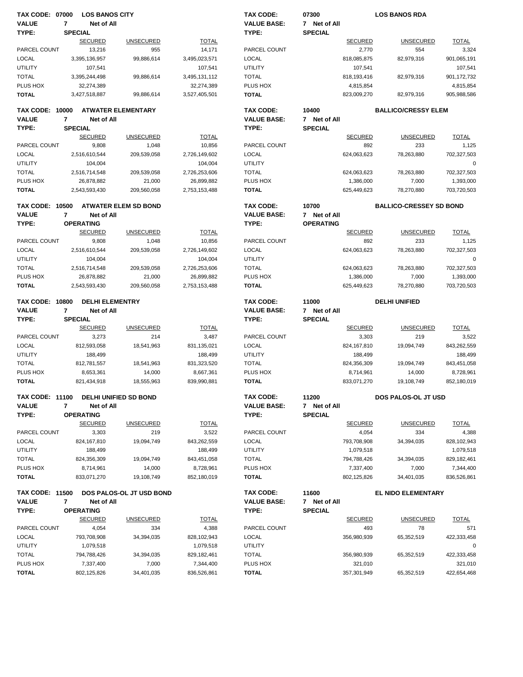| <b>TAX CODE: 07000</b> |                | <b>LOS BANOS CITY</b>  |                             |               | <b>TAX CODE:</b>   | 07300            |                | <b>LOS BANOS RDA</b>           |              |
|------------------------|----------------|------------------------|-----------------------------|---------------|--------------------|------------------|----------------|--------------------------------|--------------|
| <b>VALUE</b>           | $\overline{7}$ | Net of All             |                             |               | <b>VALUE BASE:</b> | 7 Net of All     |                |                                |              |
| TYPE:                  | <b>SPECIAL</b> |                        |                             |               | TYPE:              | <b>SPECIAL</b>   |                |                                |              |
|                        |                | <b>SECURED</b>         | <b>UNSECURED</b>            | <b>TOTAL</b>  |                    |                  | <b>SECURED</b> | <b>UNSECURED</b>               | <b>TOTAL</b> |
| PARCEL COUNT           |                | 13,216                 | 955                         | 14,171        | PARCEL COUNT       |                  | 2,770          | 554                            | 3,324        |
| <b>LOCAL</b>           |                | 3,395,136,957          | 99,886,614                  | 3,495,023,571 | LOCAL              |                  | 818,085,875    | 82,979,316                     | 901,065,191  |
| <b>UTILITY</b>         |                | 107,541                |                             | 107,541       | <b>UTILITY</b>     |                  | 107,541        |                                | 107,541      |
| <b>TOTAL</b>           |                | 3,395,244,498          | 99,886,614                  | 3,495,131,112 | <b>TOTAL</b>       |                  | 818,193,416    | 82,979,316                     | 901,172,732  |
| PLUS HOX               |                | 32,274,389             |                             | 32,274,389    | PLUS HOX           |                  | 4,815,854      |                                | 4,815,854    |
| <b>TOTAL</b>           |                | 3,427,518,887          | 99,886,614                  | 3,527,405,501 | <b>TOTAL</b>       |                  | 823,009,270    | 82,979,316                     | 905,988,586  |
|                        |                |                        |                             |               |                    |                  |                |                                |              |
| <b>TAX CODE: 10000</b> |                |                        | <b>ATWATER ELEMENTARY</b>   |               | TAX CODE:          | 10400            |                | <b>BALLICO/CRESSY ELEM</b>     |              |
| <b>VALUE</b>           | 7              | Net of All             |                             |               | <b>VALUE BASE:</b> | 7 Net of All     |                |                                |              |
| TYPE:                  | <b>SPECIAL</b> |                        |                             |               | TYPE:              | <b>SPECIAL</b>   |                |                                |              |
|                        |                | <b>SECURED</b>         | <b>UNSECURED</b>            | <b>TOTAL</b>  |                    |                  | <b>SECURED</b> | <b>UNSECURED</b>               | <b>TOTAL</b> |
| PARCEL COUNT           |                | 9,808                  | 1,048                       | 10,856        | PARCEL COUNT       |                  | 892            | 233                            | 1,125        |
|                        |                |                        |                             |               |                    |                  |                |                                |              |
| <b>LOCAL</b>           |                | 2,516,610,544          | 209,539,058                 | 2,726,149,602 | LOCAL              |                  | 624,063,623    | 78,263,880                     | 702,327,503  |
| <b>UTILITY</b>         |                | 104,004                |                             | 104,004       | UTILITY            |                  |                |                                | $\mathbf 0$  |
| <b>TOTAL</b>           |                | 2,516,714,548          | 209,539,058                 | 2,726,253,606 | <b>TOTAL</b>       |                  | 624,063,623    | 78,263,880                     | 702,327,503  |
| PLUS HOX               |                | 26,878,882             | 21,000                      | 26,899,882    | PLUS HOX           |                  | 1,386,000      | 7,000                          | 1,393,000    |
| <b>TOTAL</b>           |                | 2,543,593,430          | 209,560,058                 | 2,753,153,488 | <b>TOTAL</b>       |                  | 625,449,623    | 78,270,880                     | 703,720,503  |
|                        |                |                        |                             |               |                    |                  |                |                                |              |
| <b>TAX CODE: 10500</b> |                |                        | <b>ATWATER ELEM SD BOND</b> |               | TAX CODE:          | 10700            |                | <b>BALLICO-CRESSEY SD BOND</b> |              |
| <b>VALUE</b>           | $\overline{7}$ | Net of All             |                             |               | <b>VALUE BASE:</b> | 7 Net of All     |                |                                |              |
| TYPE:                  |                | <b>OPERATING</b>       |                             |               | TYPE:              | <b>OPERATING</b> |                |                                |              |
|                        |                | <b>SECURED</b>         | <b>UNSECURED</b>            | <b>TOTAL</b>  |                    |                  | <b>SECURED</b> | <b>UNSECURED</b>               | <b>TOTAL</b> |
| PARCEL COUNT           |                | 9,808                  | 1,048                       | 10,856        | PARCEL COUNT       |                  | 892            | 233                            | 1,125        |
| LOCAL                  |                | 2,516,610,544          | 209,539,058                 | 2,726,149,602 | <b>LOCAL</b>       |                  | 624,063,623    | 78,263,880                     | 702,327,503  |
| <b>UTILITY</b>         |                | 104,004                |                             | 104,004       | <b>UTILITY</b>     |                  |                |                                | 0            |
| <b>TOTAL</b>           |                | 2,516,714,548          | 209,539,058                 | 2,726,253,606 | <b>TOTAL</b>       |                  | 624,063,623    | 78,263,880                     | 702,327,503  |
| PLUS HOX               |                | 26,878,882             | 21,000                      | 26,899,882    | PLUS HOX           |                  | 1,386,000      | 7,000                          | 1,393,000    |
| <b>TOTAL</b>           |                | 2,543,593,430          | 209,560,058                 | 2,753,153,488 | <b>TOTAL</b>       |                  | 625,449,623    | 78,270,880                     | 703,720,503  |
|                        |                |                        |                             |               |                    |                  |                |                                |              |
| <b>TAX CODE: 10800</b> |                | <b>DELHI ELEMENTRY</b> |                             |               | <b>TAX CODE:</b>   | 11000            |                | <b>DELHI UNIFIED</b>           |              |
|                        |                |                        |                             |               |                    |                  |                |                                |              |
|                        |                |                        |                             |               |                    |                  |                |                                |              |
| <b>VALUE</b>           | 7              | Net of All             |                             |               | <b>VALUE BASE:</b> | 7 Net of All     |                |                                |              |
| TYPE:                  | <b>SPECIAL</b> |                        |                             |               | TYPE:              | <b>SPECIAL</b>   |                |                                |              |
|                        |                | <b>SECURED</b>         | <b>UNSECURED</b>            | <b>TOTAL</b>  |                    |                  | <b>SECURED</b> | <b>UNSECURED</b>               | <b>TOTAL</b> |
| PARCEL COUNT           |                | 3,273                  | 214                         | 3,487         | PARCEL COUNT       |                  | 3,303          | 219                            | 3,522        |
| <b>LOCAL</b>           |                | 812,593,058            | 18,541,963                  | 831,135,021   | LOCAL              |                  | 824,167,810    | 19,094,749                     | 843,262,559  |
| <b>UTILITY</b>         |                | 188,499                |                             | 188,499       | UTILITY            |                  | 188,499        |                                | 188,499      |
| <b>TOTAL</b>           |                | 812,781,557            | 18,541,963                  | 831,323,520   | <b>TOTAL</b>       |                  | 824,356,309    | 19,094,749                     | 843,451,058  |
| PLUS HOX               |                | 8,653,361              | 14,000                      | 8,667,361     | PLUS HOX           |                  | 8,714,961      | 14,000                         | 8,728,961    |
| <b>TOTAL</b>           |                | 821,434,918            | 18,555,963                  | 839,990,881   | <b>TOTAL</b>       |                  | 833,071,270    | 19,108,749                     | 852,180,019  |
|                        |                |                        |                             |               |                    |                  |                |                                |              |
| <b>TAX CODE: 11100</b> |                |                        | DELHI UNIFIED SD BOND       |               | TAX CODE:          | 11200            |                | DOS PALOS-OL JT USD            |              |
| <b>VALUE</b>           | 7              | Net of All             |                             |               | <b>VALUE BASE:</b> | 7 Net of All     |                |                                |              |
| TYPE:                  |                | <b>OPERATING</b>       |                             |               | TYPE:              | <b>SPECIAL</b>   |                |                                |              |
|                        |                | <b>SECURED</b>         | <b>UNSECURED</b>            | <b>TOTAL</b>  |                    |                  | <b>SECURED</b> | <b>UNSECURED</b>               | <b>TOTAL</b> |
| PARCEL COUNT           |                | 3,303                  | 219                         | 3,522         | PARCEL COUNT       |                  | 4,054          | 334                            | 4,388        |
| <b>LOCAL</b>           |                | 824,167,810            | 19,094,749                  | 843,262,559   | LOCAL              |                  | 793,708,908    | 34,394,035                     | 828,102,943  |
| <b>UTILITY</b>         |                | 188,499                |                             | 188,499       | <b>UTILITY</b>     |                  | 1,079,518      |                                | 1,079,518    |
|                        |                |                        |                             |               |                    |                  |                |                                |              |
| <b>TOTAL</b>           |                | 824,356,309            | 19,094,749                  | 843,451,058   | <b>TOTAL</b>       |                  | 794,788,426    | 34,394,035                     | 829,182,461  |
| PLUS HOX               |                | 8,714,961              | 14,000                      | 8,728,961     | PLUS HOX           |                  | 7,337,400      | 7,000                          | 7,344,400    |
| <b>TOTAL</b>           |                | 833,071,270            | 19,108,749                  | 852,180,019   | TOTAL              |                  | 802,125,826    | 34,401,035                     | 836,526,861  |
| <b>TAX CODE: 11500</b> |                |                        | DOS PALOS-OL JT USD BOND    |               | TAX CODE:          | 11600            |                | EL NIDO ELEMENTARY             |              |
| <b>VALUE</b>           | 7              | Net of All             |                             |               | <b>VALUE BASE:</b> | 7 Net of All     |                |                                |              |
|                        |                |                        |                             |               |                    |                  |                |                                |              |
| TYPE:                  |                | <b>OPERATING</b>       |                             |               | TYPE:              | <b>SPECIAL</b>   |                |                                |              |
|                        |                | <b>SECURED</b>         | <b>UNSECURED</b>            | <b>TOTAL</b>  |                    |                  | <b>SECURED</b> | <b>UNSECURED</b>               | <b>TOTAL</b> |
| PARCEL COUNT           |                | 4,054                  | 334                         | 4,388         | PARCEL COUNT       |                  | 493            | 78                             | 571          |
| <b>LOCAL</b>           |                | 793,708,908            | 34,394,035                  | 828,102,943   | LOCAL              |                  | 356,980,939    | 65,352,519                     | 422,333,458  |
| <b>UTILITY</b>         |                | 1,079,518              |                             | 1,079,518     | UTILITY            |                  |                |                                | 0            |
| <b>TOTAL</b>           |                | 794,788,426            | 34,394,035                  | 829, 182, 461 | <b>TOTAL</b>       |                  | 356,980,939    | 65,352,519                     | 422,333,458  |
| PLUS HOX               |                | 7,337,400              | 7,000                       | 7,344,400     | PLUS HOX           |                  | 321,010        |                                | 321,010      |
| <b>TOTAL</b>           |                | 802,125,826            | 34,401,035                  | 836,526,861   | <b>TOTAL</b>       |                  | 357,301,949    | 65,352,519                     | 422,654,468  |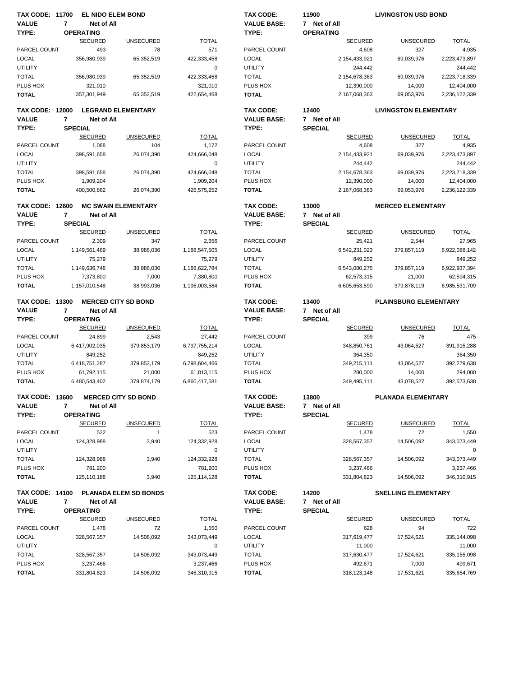| <b>TAX CODE: 11700</b>                 |                             | EL NIDO ELEM BOND                   |                             | <b>TAX CODE:</b>                | 11900                    | <b>LIVINGSTON USD BOND</b>   |                        |
|----------------------------------------|-----------------------------|-------------------------------------|-----------------------------|---------------------------------|--------------------------|------------------------------|------------------------|
| <b>VALUE</b>                           | $\overline{7}$              | Net of All                          |                             | <b>VALUE BASE:</b>              | 7 Net of All             |                              |                        |
| TYPE:                                  | <b>OPERATING</b>            |                                     |                             | TYPE:                           | <b>OPERATING</b>         |                              |                        |
|                                        | <b>SECURED</b>              | <b>UNSECURED</b>                    | <b>TOTAL</b>                |                                 | <b>SECURED</b>           | <b>UNSECURED</b>             | <b>TOTAL</b>           |
| PARCEL COUNT                           |                             | 493<br>78                           | 571                         | PARCEL COUNT                    | 4,608                    | 327                          | 4,935                  |
| <b>LOCAL</b>                           | 356,980,939                 | 65,352,519                          | 422,333,458                 | <b>LOCAL</b>                    | 2,154,433,921            | 69,039,976                   | 2,223,473,897          |
| <b>UTILITY</b>                         |                             |                                     | 0                           | <b>UTILITY</b>                  | 244,442                  |                              | 244,442                |
| <b>TOTAL</b>                           | 356,980,939                 | 65,352,519                          | 422,333,458                 | <b>TOTAL</b>                    | 2,154,678,363            | 69,039,976                   | 2,223,718,339          |
| PLUS HOX                               | 321,010                     |                                     | 321,010                     | PLUS HOX                        | 12,390,000               | 14,000                       | 12,404,000             |
| <b>TOTAL</b>                           | 357,301,949                 | 65,352,519                          | 422,654,468                 | <b>TOTAL</b>                    | 2,167,068,363            | 69,053,976                   | 2,236,122,339          |
| <b>TAX CODE: 12000</b>                 |                             | <b>LEGRAND ELEMENTARY</b>           |                             | <b>TAX CODE:</b>                | 12400                    | <b>LIVINGSTON ELEMENTARY</b> |                        |
| <b>VALUE</b>                           | $\overline{7}$              | Net of All                          |                             | <b>VALUE BASE:</b>              | 7 Net of All             |                              |                        |
| TYPE:                                  | <b>SPECIAL</b>              |                                     |                             | TYPE:                           | <b>SPECIAL</b>           |                              |                        |
|                                        | <b>SECURED</b>              | <b>UNSECURED</b>                    | <b>TOTAL</b>                |                                 | <b>SECURED</b>           | <b>UNSECURED</b>             | <b>TOTAL</b>           |
| PARCEL COUNT                           | 1,068                       | 104                                 | 1,172                       | PARCEL COUNT                    | 4,608                    | 327                          | 4,935                  |
| <b>LOCAL</b>                           | 398,591,658                 | 26,074,390                          | 424,666,048                 | <b>LOCAL</b>                    | 2,154,433,921            | 69,039,976                   | 2,223,473,897          |
| <b>UTILITY</b>                         |                             |                                     | $\mathbf 0$                 | <b>UTILITY</b>                  | 244,442                  |                              | 244,442                |
| <b>TOTAL</b>                           | 398,591,658                 | 26,074,390                          | 424,666,048                 | <b>TOTAL</b>                    | 2,154,678,363            | 69,039,976                   | 2,223,718,339          |
| PLUS HOX                               | 1,909,204                   |                                     | 1,909,204                   | PLUS HOX                        | 12,390,000               | 14,000                       | 12,404,000             |
| <b>TOTAL</b>                           | 400,500,862                 | 26,074,390                          | 426,575,252                 | <b>TOTAL</b>                    | 2,167,068,363            | 69,053,976                   | 2,236,122,339          |
| <b>TAX CODE: 12600</b>                 |                             | <b>MC SWAIN ELEMENTARY</b>          |                             | <b>TAX CODE:</b>                | 13000                    | <b>MERCED ELEMENTARY</b>     |                        |
| <b>VALUE</b>                           | 7                           | Net of All                          |                             | <b>VALUE BASE:</b>              | 7 Net of All             |                              |                        |
| TYPE:                                  | <b>SPECIAL</b>              |                                     |                             | TYPE:                           | <b>SPECIAL</b>           |                              |                        |
|                                        | <b>SECURED</b>              | <b>UNSECURED</b>                    | <b>TOTAL</b>                |                                 | <b>SECURED</b>           | <b>UNSECURED</b>             | <b>TOTAL</b>           |
| PARCEL COUNT                           | 2,309                       | 347                                 | 2,656                       | PARCEL COUNT                    | 25,421                   | 2,544                        | 27,965                 |
| <b>LOCAL</b>                           | 1,149,561,469               | 38,986,036                          | 1,188,547,505               | <b>LOCAL</b>                    | 6,542,231,023            | 379,857,119                  | 6,922,088,142          |
| <b>UTILITY</b>                         | 75,279                      |                                     | 75,279                      | <b>UTILITY</b>                  | 849,252                  |                              | 849,252                |
| <b>TOTAL</b>                           | 1,149,636,748               | 38,986,036                          | 1,188,622,784               | <b>TOTAL</b>                    | 6,543,080,275            | 379,857,119                  | 6,922,937,394          |
| PLUS HOX                               | 7,373,800                   | 7,000                               | 7,380,800                   | PLUS HOX                        | 62,573,315               | 21,000                       | 62,594,315             |
| <b>TOTAL</b>                           | 1,157,010,548               | 38,993,036                          | 1,196,003,584               | <b>TOTAL</b>                    | 6,605,653,590            | 379,878,119                  | 6,985,531,709          |
| <b>TAX CODE: 13300</b>                 |                             | <b>MERCED CITY SD BOND</b>          |                             | <b>TAX CODE:</b>                | 13400                    | <b>PLAINSBURG ELEMENTARY</b> |                        |
| <b>VALUE</b>                           | $\overline{7}$              | Net of All                          |                             | <b>VALUE BASE:</b>              | 7 Net of All             |                              |                        |
| TYPE:                                  | <b>OPERATING</b>            |                                     |                             | TYPE:                           | <b>SPECIAL</b>           |                              |                        |
|                                        | <b>SECURED</b>              | <b>UNSECURED</b>                    | <b>TOTAL</b>                |                                 | <b>SECURED</b>           | <b>UNSECURED</b>             | <b>TOTAL</b>           |
| PARCEL COUNT                           | 24,899                      | 2,543                               | 27,442                      | PARCEL COUNT                    | 399                      | 76                           | 475                    |
| <b>LOCAL</b>                           | 6,417,902,035               | 379,853,179                         | 6,797,755,214               | LOCAL                           | 348,850,761              | 43,064,527                   | 391,915,288            |
| <b>UTILITY</b>                         | 849,252                     |                                     | 849,252                     | <b>UTILITY</b>                  | 364,350                  |                              | 364,350                |
| <b>TOTAL</b>                           | 6,418,751,287               | 379,853,179                         | 6,798,604,466               | <b>TOTAL</b>                    | 349,215,111              | 43,064,527                   | 392,279,638            |
| PLUS HOX<br><b>TOTAL</b>               | 61,792,115<br>6,480,543,402 | 21,000<br>379,874,179               | 61,813,115<br>6,860,417,581 | PLUS HOX<br><b>TOTAL</b>        | 280,000<br>349,495,111   | 14,000<br>43,078,527         | 294,000<br>392,573,638 |
|                                        |                             |                                     |                             |                                 |                          |                              |                        |
| <b>TAX CODE: 13600</b>                 |                             | <b>MERCED CITY SD BOND</b>          |                             | TAX CODE:                       | 13800                    | <b>PLANADA ELEMENTARY</b>    |                        |
| <b>VALUE</b>                           | 7                           | Net of All                          |                             | <b>VALUE BASE:</b>              | 7 Net of All             |                              |                        |
| TYPE:                                  | <b>OPERATING</b>            |                                     |                             | TYPE:                           | <b>SPECIAL</b>           |                              |                        |
|                                        | <b>SECURED</b>              | <b>UNSECURED</b>                    | <b>TOTAL</b>                |                                 | <b>SECURED</b>           | <b>UNSECURED</b>             | <b>TOTAL</b>           |
| PARCEL COUNT                           |                             | 522<br>$\mathbf{1}$                 | 523                         | PARCEL COUNT                    | 1,478                    | 72                           | 1,550                  |
| <b>LOCAL</b>                           | 124,328,988                 | 3,940                               | 124,332,928                 | LOCAL                           | 328,567,357              | 14,506,092                   | 343,073,449            |
| <b>UTILITY</b>                         |                             |                                     | $\mathbf 0$                 | <b>UTILITY</b>                  |                          |                              | 0                      |
| <b>TOTAL</b>                           | 124,328,988                 | 3,940                               | 124,332,928                 | <b>TOTAL</b>                    | 328,567,357              | 14,506,092                   | 343,073,449            |
| PLUS HOX                               | 781,200                     |                                     | 781,200                     | PLUS HOX                        | 3,237,466                |                              | 3,237,466              |
| <b>TOTAL</b>                           | 125,110,188                 | 3,940                               | 125, 114, 128               | <b>TOTAL</b>                    | 331,804,823              | 14,506,092                   | 346,310,915            |
| <b>TAX CODE: 14100</b><br><b>VALUE</b> | $\overline{7}$              | PLANADA ELEM SD BONDS<br>Net of All |                             | TAX CODE:<br><b>VALUE BASE:</b> | 14200<br>7 Net of All    | <b>SNELLING ELEMENTARY</b>   |                        |
| TYPE:                                  | <b>OPERATING</b>            |                                     |                             | TYPE:                           | <b>SPECIAL</b>           |                              |                        |
|                                        | <b>SECURED</b>              | <b>UNSECURED</b>                    | <b>TOTAL</b>                |                                 | <b>SECURED</b>           | <b>UNSECURED</b>             | <b>TOTAL</b>           |
| PARCEL COUNT                           | 1,478                       | 72                                  | 1,550                       | PARCEL COUNT                    | 628                      | 94                           | 722                    |
| <b>LOCAL</b>                           | 328,567,357                 | 14,506,092                          | 343,073,449                 | <b>LOCAL</b>                    | 317,619,477              | 17,524,621                   | 335,144,098            |
| <b>UTILITY</b>                         |                             |                                     |                             | <b>UTILITY</b>                  | 11,000                   |                              | 11,000                 |
|                                        |                             |                                     |                             |                                 |                          |                              |                        |
|                                        |                             |                                     | 0                           |                                 |                          |                              |                        |
| <b>TOTAL</b>                           | 328,567,357                 | 14,506,092                          | 343,073,449                 | <b>TOTAL</b>                    | 317,630,477              | 17,524,621                   | 335,155,098            |
| PLUS HOX<br><b>TOTAL</b>               | 3,237,466<br>331,804,823    | 14,506,092                          | 3,237,466<br>346,310,915    | PLUS HOX<br><b>TOTAL</b>        | 492,671<br>318, 123, 148 | 7,000<br>17,531,621          | 499,671<br>335,654,769 |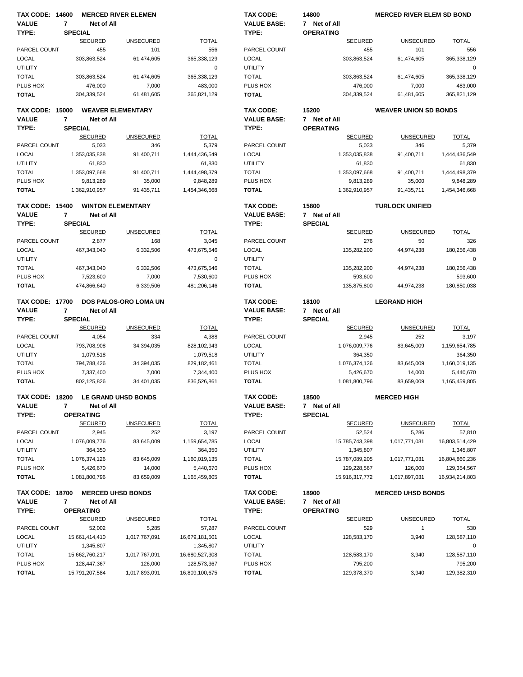| <b>TAX CODE: 14600</b> |                  | <b>MERCED RIVER ELEMEN</b> |                              |                | <b>TAX CODE:</b>                | 14800                              | <b>MERCED RIVER ELEM SD BOND</b> |                |
|------------------------|------------------|----------------------------|------------------------------|----------------|---------------------------------|------------------------------------|----------------------------------|----------------|
| <b>VALUE</b>           | $\overline{7}$   | Net of All                 |                              |                | <b>VALUE BASE:</b>              | 7 Net of All                       |                                  |                |
| TYPE:                  | <b>SPECIAL</b>   |                            |                              |                | TYPE:                           | <b>OPERATING</b>                   |                                  |                |
|                        |                  | <b>SECURED</b>             | <b>UNSECURED</b>             | <b>TOTAL</b>   |                                 | <b>SECURED</b>                     | <b>UNSECURED</b>                 | <b>TOTAL</b>   |
| PARCEL COUNT           |                  | 455                        | 101                          | 556            | PARCEL COUNT                    | 455                                | 101                              | 556            |
| <b>LOCAL</b>           |                  | 303,863,524                | 61,474,605                   | 365,338,129    | <b>LOCAL</b>                    | 303,863,524                        | 61,474,605                       | 365,338,129    |
| <b>UTILITY</b>         |                  |                            |                              | 0              | <b>UTILITY</b>                  |                                    |                                  | $\mathbf 0$    |
| <b>TOTAL</b>           |                  | 303,863,524                | 61,474,605                   | 365,338,129    | <b>TOTAL</b>                    | 303,863,524                        | 61,474,605                       | 365,338,129    |
| PLUS HOX               |                  | 476,000                    | 7,000                        | 483,000        | PLUS HOX                        | 476,000                            | 7,000                            | 483,000        |
| <b>TOTAL</b>           |                  | 304,339,524                | 61,481,605                   | 365,821,129    | <b>TOTAL</b>                    | 304,339,524                        | 61,481,605                       | 365,821,129    |
| <b>TAX CODE: 15000</b> |                  | <b>WEAVER ELEMENTARY</b>   |                              |                | <b>TAX CODE:</b>                | 15200                              | <b>WEAVER UNION SD BONDS</b>     |                |
| <b>VALUE</b>           | $\overline{7}$   | Net of All                 |                              |                | <b>VALUE BASE:</b>              | 7 Net of All                       |                                  |                |
| TYPE:                  | <b>SPECIAL</b>   |                            |                              |                | TYPE:                           | <b>OPERATING</b>                   |                                  |                |
|                        |                  | <b>SECURED</b>             | <b>UNSECURED</b>             | <b>TOTAL</b>   |                                 | <b>SECURED</b>                     | <b>UNSECURED</b>                 | <b>TOTAL</b>   |
| PARCEL COUNT           |                  | 5,033                      | 346                          | 5,379          | PARCEL COUNT                    | 5,033                              | 346                              | 5,379          |
| LOCAL                  |                  | 1,353,035,838              | 91,400,711                   | 1,444,436,549  | <b>LOCAL</b>                    | 1,353,035,838                      | 91,400,711                       | 1,444,436,549  |
| <b>UTILITY</b>         |                  | 61,830                     |                              | 61,830         | <b>UTILITY</b>                  | 61,830                             |                                  | 61,830         |
| <b>TOTAL</b>           |                  | 1,353,097,668              | 91,400,711                   | 1,444,498,379  | <b>TOTAL</b>                    | 1,353,097,668                      | 91,400,711                       | 1,444,498,379  |
| PLUS HOX               |                  | 9,813,289                  | 35,000                       | 9,848,289      | PLUS HOX                        | 9,813,289                          | 35,000                           | 9,848,289      |
| <b>TOTAL</b>           |                  | 1,362,910,957              | 91,435,711                   | 1,454,346,668  | <b>TOTAL</b>                    | 1,362,910,957                      | 91,435,711                       | 1,454,346,668  |
|                        |                  |                            |                              |                |                                 |                                    |                                  |                |
| <b>TAX CODE: 15400</b> |                  | <b>WINTON ELEMENTARY</b>   |                              |                | <b>TAX CODE:</b>                | 15800                              | <b>TURLOCK UNIFIED</b>           |                |
| <b>VALUE</b>           | 7                | Net of All                 |                              |                | <b>VALUE BASE:</b>              | 7 Net of All                       |                                  |                |
| TYPE:                  | <b>SPECIAL</b>   |                            |                              |                | TYPE:                           | <b>SPECIAL</b>                     |                                  |                |
|                        |                  | <b>SECURED</b>             | <b>UNSECURED</b>             | <b>TOTAL</b>   |                                 | <b>SECURED</b>                     | <b>UNSECURED</b>                 | <b>TOTAL</b>   |
| PARCEL COUNT           |                  | 2,877                      | 168                          | 3,045          | PARCEL COUNT                    | 276                                | 50                               | 326            |
| LOCAL                  |                  | 467,343,040                | 6,332,506                    | 473,675,546    | <b>LOCAL</b>                    | 135,282,200                        | 44,974,238                       | 180,256,438    |
| <b>UTILITY</b>         |                  |                            |                              | 0              | <b>UTILITY</b>                  |                                    |                                  | $\mathbf 0$    |
| <b>TOTAL</b>           |                  | 467,343,040                | 6,332,506                    | 473,675,546    | <b>TOTAL</b>                    | 135,282,200                        | 44,974,238                       | 180,256,438    |
| PLUS HOX               |                  | 7,523,600                  | 7,000                        | 7,530,600      | PLUS HOX                        | 593,600                            |                                  | 593,600        |
| <b>TOTAL</b>           |                  | 474,866,640                | 6,339,506                    | 481,206,146    | <b>TOTAL</b>                    | 135,875,800                        | 44,974,238                       | 180,850,038    |
| <b>TAX CODE: 17700</b> |                  |                            | <b>DOS PALOS-ORO LOMA UN</b> |                | <b>TAX CODE:</b>                | 18100                              | <b>LEGRAND HIGH</b>              |                |
| <b>VALUE</b>           | $\overline{7}$   | Net of All                 |                              |                | <b>VALUE BASE:</b>              | 7 Net of All                       |                                  |                |
| TYPE:                  | <b>SPECIAL</b>   |                            |                              |                | TYPE:                           | <b>SPECIAL</b>                     |                                  |                |
|                        |                  | <b>SECURED</b>             | <b>UNSECURED</b>             | <b>TOTAL</b>   |                                 | <b>SECURED</b>                     | <b>UNSECURED</b>                 | <b>TOTAL</b>   |
| PARCEL COUNT           |                  | 4,054                      | 334                          | 4,388          | PARCEL COUNT                    | 2,945                              | 252                              | 3,197          |
| <b>LOCAL</b>           |                  | 793,708,908                | 34,394,035                   | 828,102,943    | <b>LOCAL</b>                    | 1,076,009,776                      | 83,645,009                       | 1,159,654,785  |
| <b>UTILITY</b>         |                  | 1,079,518                  |                              | 1,079,518      | <b>UTILITY</b>                  | 364,350                            |                                  | 364,350        |
| <b>TOTAL</b>           |                  | 794,788,426                | 34,394,035                   | 829, 182, 461  | <b>TOTAL</b>                    | 1,076,374,126                      | 83,645,009                       | 1,160,019,135  |
| PLUS HOX               |                  | 7,337,400                  | 7,000                        | 7,344,400      | PLUS HOX                        | 5.426.670                          | 14,000                           | 5,440,670      |
| <b>TOTAL</b>           |                  | 802,125,826                | 34,401,035                   | 836.526.861    | <b>TOTAL</b>                    | 1,081,800,796                      | 83,659,009                       | 1,165,459,805  |
| <b>TAX CODE: 18200</b> |                  | LE GRAND UHSD BONDS        |                              |                | TAX CODE:                       | 18500                              | <b>MERCED HIGH</b>               |                |
| <b>VALUE</b>           | $\overline{7}$   | Net of All                 |                              |                | <b>VALUE BASE:</b>              | 7 Net of All                       |                                  |                |
| TYPE:                  | <b>OPERATING</b> |                            |                              |                | TYPE:                           | <b>SPECIAL</b>                     |                                  |                |
|                        |                  | <b>SECURED</b>             | <b>UNSECURED</b>             | <b>TOTAL</b>   |                                 | <b>SECURED</b>                     | <b>UNSECURED</b>                 | <b>TOTAL</b>   |
| PARCEL COUNT           |                  | 2,945                      | 252                          | 3,197          | PARCEL COUNT                    | 52,524                             | 5,286                            | 57,810         |
| <b>LOCAL</b>           |                  | 1,076,009,776              | 83,645,009                   | 1,159,654,785  | LOCAL                           | 15,785,743,398                     | 1,017,771,031                    | 16,803,514,429 |
| <b>UTILITY</b>         |                  | 364,350                    |                              | 364,350        | <b>UTILITY</b>                  | 1,345,807                          |                                  | 1,345,807      |
| <b>TOTAL</b>           |                  | 1,076,374,126              | 83,645,009                   | 1,160,019,135  | <b>TOTAL</b>                    | 15,787,089,205                     | 1,017,771,031                    | 16,804,860,236 |
| PLUS HOX               |                  | 5,426,670                  | 14,000                       | 5,440,670      | PLUS HOX                        | 129,228,567                        | 126,000                          | 129,354,567    |
| <b>TOTAL</b>           |                  | 1,081,800,796              | 83,659,009                   | 1,165,459,805  | <b>TOTAL</b>                    | 15,916,317,772                     | 1,017,897,031                    | 16,934,214,803 |
|                        |                  |                            |                              |                |                                 |                                    |                                  |                |
| <b>TAX CODE: 18700</b> |                  | <b>MERCED UHSD BONDS</b>   |                              |                | TAX CODE:<br><b>VALUE BASE:</b> | 18900<br>7 Net of All              | <b>MERCED UHSD BONDS</b>         |                |
| <b>VALUE</b>           | 7                | Net of All                 |                              |                |                                 |                                    |                                  |                |
| TYPE:                  | <b>OPERATING</b> | <b>SECURED</b>             | <b>UNSECURED</b>             | <b>TOTAL</b>   | TYPE:                           | <b>OPERATING</b><br><b>SECURED</b> | <b>UNSECURED</b>                 | <b>TOTAL</b>   |
| PARCEL COUNT           |                  | 52,002                     | 5,285                        | 57,287         | PARCEL COUNT                    | 529                                | $\mathbf{1}$                     | 530            |
| <b>LOCAL</b>           |                  | 15,661,414,410             | 1,017,767,091                | 16,679,181,501 | LOCAL                           | 128,583,170                        | 3,940                            | 128,587,110    |
| <b>UTILITY</b>         |                  | 1,345,807                  |                              | 1,345,807      | <b>UTILITY</b>                  |                                    |                                  | 0              |
| <b>TOTAL</b>           |                  | 15,662,760,217             | 1,017,767,091                | 16,680,527,308 | <b>TOTAL</b>                    | 128,583,170                        | 3,940                            | 128,587,110    |
| PLUS HOX               |                  | 128,447,367                | 126,000                      | 128,573,367    | PLUS HOX                        | 795,200                            |                                  | 795,200        |
| <b>TOTAL</b>           |                  | 15,791,207,584             | 1,017,893,091                | 16,809,100,675 | <b>TOTAL</b>                    | 129,378,370                        | 3,940                            | 129,382,310    |
|                        |                  |                            |                              |                |                                 |                                    |                                  |                |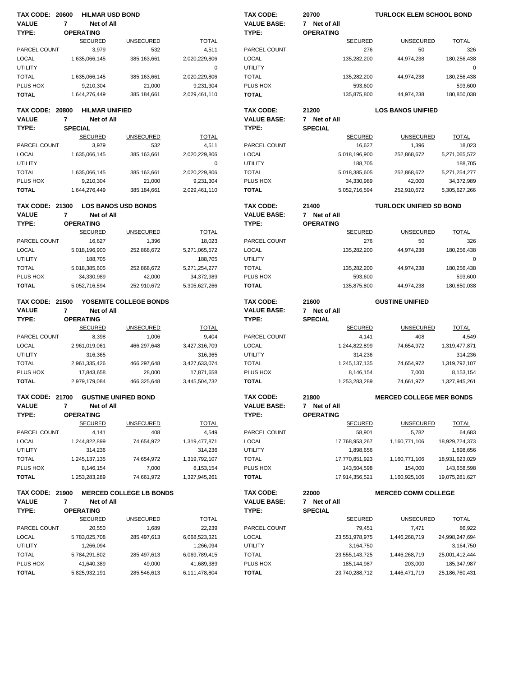| <b>TAX CODE: 20600</b> |                |                       | <b>HILMAR USD BOND</b>         |               | <b>TAX CODE:</b>   | 20700            | <b>TURLOCK ELEM SCHOOL BOND</b> |                |
|------------------------|----------------|-----------------------|--------------------------------|---------------|--------------------|------------------|---------------------------------|----------------|
| <b>VALUE</b>           | $\overline{7}$ | Net of All            |                                |               | <b>VALUE BASE:</b> | 7 Net of All     |                                 |                |
| TYPE:                  |                | <b>OPERATING</b>      |                                |               | TYPE:              | <b>OPERATING</b> |                                 |                |
|                        |                | <b>SECURED</b>        | <b>UNSECURED</b>               | <b>TOTAL</b>  |                    | <b>SECURED</b>   | <b>UNSECURED</b>                | <b>TOTAL</b>   |
| PARCEL COUNT           |                | 3,979                 | 532                            | 4,511         | PARCEL COUNT       | 276              | 50                              | 326            |
| <b>LOCAL</b>           |                | 1,635,066,145         | 385, 163, 661                  | 2,020,229,806 | LOCAL              | 135,282,200      | 44,974,238                      | 180,256,438    |
| UTILITY                |                |                       |                                | 0             | <b>UTILITY</b>     |                  |                                 | 0              |
|                        |                |                       |                                |               |                    |                  |                                 |                |
| <b>TOTAL</b>           |                | 1,635,066,145         | 385, 163, 661                  | 2,020,229,806 | <b>TOTAL</b>       | 135,282,200      | 44,974,238                      | 180,256,438    |
| PLUS HOX               |                | 9,210,304             | 21,000                         | 9,231,304     | PLUS HOX           | 593,600          |                                 | 593,600        |
| <b>TOTAL</b>           |                | 1,644,276,449         | 385, 184, 661                  | 2,029,461,110 | <b>TOTAL</b>       | 135,875,800      | 44,974,238                      | 180,850,038    |
| <b>TAX CODE: 20800</b> |                | <b>HILMAR UNIFIED</b> |                                |               | <b>TAX CODE:</b>   | 21200            | <b>LOS BANOS UNIFIED</b>        |                |
| <b>VALUE</b>           | 7              | Net of All            |                                |               | <b>VALUE BASE:</b> | 7 Net of All     |                                 |                |
| TYPE:                  |                | <b>SPECIAL</b>        |                                |               | TYPE:              | <b>SPECIAL</b>   |                                 |                |
|                        |                | <b>SECURED</b>        | <b>UNSECURED</b>               | <b>TOTAL</b>  |                    | <b>SECURED</b>   | <b>UNSECURED</b>                | <b>TOTAL</b>   |
| PARCEL COUNT           |                | 3,979                 | 532                            | 4,511         | PARCEL COUNT       | 16,627           | 1,396                           | 18,023         |
| <b>LOCAL</b>           |                | 1,635,066,145         | 385, 163, 661                  | 2,020,229,806 | <b>LOCAL</b>       | 5,018,196,900    | 252,868,672                     | 5,271,065,572  |
| <b>UTILITY</b>         |                |                       |                                | $\mathbf 0$   | <b>UTILITY</b>     | 188,705          |                                 | 188,705        |
| <b>TOTAL</b>           |                | 1,635,066,145         | 385, 163, 661                  | 2,020,229,806 | <b>TOTAL</b>       | 5,018,385,605    | 252,868,672                     | 5,271,254,277  |
| PLUS HOX               |                | 9,210,304             | 21,000                         | 9,231,304     | PLUS HOX           | 34,330,989       | 42,000                          | 34,372,989     |
| <b>TOTAL</b>           |                | 1,644,276,449         | 385, 184, 661                  | 2,029,461,110 | <b>TOTAL</b>       | 5,052,716,594    | 252,910,672                     | 5,305,627,266  |
| <b>TAX CODE: 21300</b> |                |                       | <b>LOS BANOS USD BONDS</b>     |               | <b>TAX CODE:</b>   | 21400            | <b>TURLOCK UNIFIED SD BOND</b>  |                |
| <b>VALUE</b>           | $\overline{7}$ | Net of All            |                                |               | <b>VALUE BASE:</b> | 7 Net of All     |                                 |                |
| TYPE:                  |                | <b>OPERATING</b>      |                                |               | TYPE:              | <b>OPERATING</b> |                                 |                |
|                        |                | <b>SECURED</b>        | <b>UNSECURED</b>               | <b>TOTAL</b>  |                    | <b>SECURED</b>   | <b>UNSECURED</b>                | <b>TOTAL</b>   |
|                        |                |                       |                                |               | PARCEL COUNT       | 276              | 50                              | 326            |
| PARCEL COUNT           |                | 16,627                | 1,396                          | 18,023        |                    |                  |                                 |                |
| <b>LOCAL</b>           |                | 5,018,196,900         | 252,868,672                    | 5,271,065,572 | <b>LOCAL</b>       | 135,282,200      | 44,974,238                      | 180,256,438    |
| <b>UTILITY</b>         |                | 188,705               |                                | 188,705       | <b>UTILITY</b>     |                  |                                 | 0              |
| <b>TOTAL</b>           |                | 5,018,385,605         | 252,868,672                    | 5,271,254,277 | <b>TOTAL</b>       | 135,282,200      | 44,974,238                      | 180,256,438    |
| PLUS HOX               |                | 34,330,989            | 42,000                         | 34,372,989    | PLUS HOX           | 593,600          |                                 | 593,600        |
| <b>TOTAL</b>           |                | 5,052,716,594         | 252,910,672                    | 5,305,627,266 | <b>TOTAL</b>       | 135,875,800      | 44,974,238                      | 180,850,038    |
| <b>TAX CODE: 21500</b> |                |                       | YOSEMITE COLLEGE BONDS         |               | <b>TAX CODE:</b>   | 21600            | <b>GUSTINE UNIFIED</b>          |                |
| <b>VALUE</b>           | 7              | Net of All            |                                |               | <b>VALUE BASE:</b> | 7 Net of All     |                                 |                |
| TYPE:                  |                | <b>OPERATING</b>      |                                |               | TYPE:              | <b>SPECIAL</b>   |                                 |                |
|                        |                | <b>SECURED</b>        | <b>UNSECURED</b>               | <b>TOTAL</b>  |                    | <b>SECURED</b>   | <b>UNSECURED</b>                | <b>TOTAL</b>   |
| PARCEL COUNT           |                | 8,398                 | 1,006                          | 9,404         | PARCEL COUNT       | 4,141            | 408                             | 4,549          |
| <b>LOCAL</b>           |                | 2,961,019,061         | 466,297,648                    | 3,427,316,709 | <b>LOCAL</b>       | 1,244,822,899    | 74,654,972                      | 1,319,477,871  |
| <b>UTILITY</b>         |                | 316,365               |                                | 316,365       | <b>UTILITY</b>     | 314,236          |                                 | 314,236        |
| <b>TOTAL</b>           |                | 2,961,335,426         | 466,297,648                    | 3,427,633,074 | <b>TOTAL</b>       | 1,245,137,135    | 74,654,972                      | 1,319,792,107  |
| PLUS HOX               |                | 17,843,658            | 28,000                         | 17,871,658    | PLUS HOX           | 8,146,154        | 7,000                           | 8,153,154      |
| <b>TOTAL</b>           |                | 2,979,179,084         | 466,325,648                    | 3,445,504,732 | <b>TOTAL</b>       | 1,253,283,289    | 74,661,972                      | 1,327,945,261  |
| <b>TAX CODE: 21700</b> |                |                       | <b>GUSTINE UNIFIED BOND</b>    |               | TAX CODE:          | 21800            | <b>MERCED COLLEGE MER BONDS</b> |                |
| <b>VALUE</b>           | 7              | Net of All            |                                |               | <b>VALUE BASE:</b> | 7 Net of All     |                                 |                |
|                        |                |                       |                                |               |                    |                  |                                 |                |
| TYPE:                  |                | <b>OPERATING</b>      |                                |               | TYPE:              | <b>OPERATING</b> |                                 |                |
|                        |                | <b>SECURED</b>        | <b>UNSECURED</b>               | <b>TOTAL</b>  |                    | <b>SECURED</b>   | <b>UNSECURED</b>                | <b>TOTAL</b>   |
| PARCEL COUNT           |                | 4,141                 | 408                            | 4,549         | PARCEL COUNT       | 58,901           | 5,782                           | 64,683         |
| <b>LOCAL</b>           |                | 1,244,822,899         | 74,654,972                     | 1,319,477,871 | <b>LOCAL</b>       | 17,768,953,267   | 1,160,771,106                   | 18,929,724,373 |
| <b>UTILITY</b>         |                | 314,236               |                                | 314,236       | <b>UTILITY</b>     | 1,898,656        |                                 | 1,898,656      |
| <b>TOTAL</b>           |                | 1,245,137,135         | 74,654,972                     | 1,319,792,107 | <b>TOTAL</b>       | 17,770,851,923   | 1,160,771,106                   | 18,931,623,029 |
| PLUS HOX               |                | 8,146,154             | 7,000                          | 8, 153, 154   | PLUS HOX           | 143,504,598      | 154,000                         | 143,658,598    |
| <b>TOTAL</b>           |                | 1,253,283,289         | 74,661,972                     | 1,327,945,261 | <b>TOTAL</b>       | 17,914,356,521   | 1,160,925,106                   | 19,075,281,627 |
| TAX CODE: 21900        |                |                       | <b>MERCED COLLEGE LB BONDS</b> |               | TAX CODE:          | 22000            | <b>MERCED COMM COLLEGE</b>      |                |
| <b>VALUE</b>           | 7              | Net of All            |                                |               | <b>VALUE BASE:</b> | 7 Net of All     |                                 |                |
| TYPE:                  |                | <b>OPERATING</b>      |                                |               | TYPE:              | <b>SPECIAL</b>   |                                 |                |
|                        |                | <b>SECURED</b>        | <b>UNSECURED</b>               | <b>TOTAL</b>  |                    | <b>SECURED</b>   | <b>UNSECURED</b>                | <b>TOTAL</b>   |
| PARCEL COUNT           |                | 20,550                | 1,689                          | 22,239        | PARCEL COUNT       | 79,451           | 7,471                           | 86,922         |
| LOCAL                  |                | 5,783,025,708         | 285,497,613                    | 6,068,523,321 | <b>LOCAL</b>       | 23,551,978,975   | 1,446,268,719                   | 24,998,247,694 |
| UTILITY                |                | 1,266,094             |                                | 1,266,094     | <b>UTILITY</b>     | 3,164,750        |                                 | 3,164,750      |
| <b>TOTAL</b>           |                | 5,784,291,802         | 285,497,613                    | 6,069,789,415 | <b>TOTAL</b>       | 23,555,143,725   | 1,446,268,719                   | 25,001,412,444 |
| PLUS HOX               |                | 41,640,389            | 49,000                         | 41,689,389    | PLUS HOX           |                  | 203,000                         |                |
|                        |                |                       |                                |               |                    | 185,144,987      |                                 | 185,347,987    |
| <b>TOTAL</b>           |                | 5,825,932,191         | 285,546,613                    | 6,111,478,804 | <b>TOTAL</b>       | 23,740,288,712   | 1,446,471,719                   | 25,186,760,431 |
|                        |                |                       |                                |               |                    |                  |                                 |                |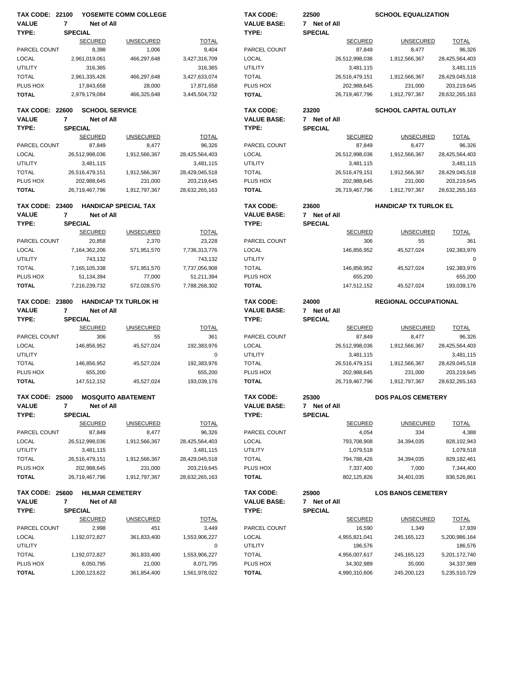| <b>TAX CODE: 22100</b> |                |                       | YOSEMITE COMM COLLEGE        |                | <b>TAX CODE:</b>   | 22500          | <b>SCHOOL EQUALIZATION</b>   |                |
|------------------------|----------------|-----------------------|------------------------------|----------------|--------------------|----------------|------------------------------|----------------|
| <b>VALUE</b>           | $\overline{7}$ | Net of All            |                              |                | <b>VALUE BASE:</b> | 7 Net of All   |                              |                |
| TYPE:                  | <b>SPECIAL</b> |                       |                              |                | TYPE:              | <b>SPECIAL</b> |                              |                |
|                        |                | <b>SECURED</b>        | <b>UNSECURED</b>             | <b>TOTAL</b>   |                    | <b>SECURED</b> | <b>UNSECURED</b>             | <b>TOTAL</b>   |
| PARCEL COUNT           |                | 8,398                 | 1,006                        | 9,404          | PARCEL COUNT       | 87,849         | 8,477                        | 96,326         |
| <b>LOCAL</b>           |                | 2,961,019,061         | 466,297,648                  | 3,427,316,709  | <b>LOCAL</b>       | 26,512,998,036 | 1,912,566,367                | 28,425,564,403 |
| <b>UTILITY</b>         |                | 316,365               |                              | 316,365        | <b>UTILITY</b>     | 3,481,115      |                              | 3,481,115      |
| <b>TOTAL</b>           |                | 2,961,335,426         | 466,297,648                  | 3,427,633,074  | <b>TOTAL</b>       | 26,516,479,151 | 1,912,566,367                | 28,429,045,518 |
|                        |                |                       |                              |                | PLUS HOX           |                |                              |                |
| PLUS HOX               |                | 17,843,658            | 28,000                       | 17,871,658     |                    | 202,988,645    | 231,000                      | 203,219,645    |
| <b>TOTAL</b>           |                | 2,979,179,084         | 466,325,648                  | 3,445,504,732  | <b>TOTAL</b>       | 26,719,467,796 | 1,912,797,367                | 28,632,265,163 |
| <b>TAX CODE: 22600</b> |                | <b>SCHOOL SERVICE</b> |                              |                | <b>TAX CODE:</b>   | 23200          | <b>SCHOOL CAPITAL OUTLAY</b> |                |
|                        |                |                       |                              |                |                    |                |                              |                |
| <b>VALUE</b>           | 7              | Net of All            |                              |                | <b>VALUE BASE:</b> | 7 Net of All   |                              |                |
| TYPE:                  | <b>SPECIAL</b> |                       |                              |                | TYPE:              | <b>SPECIAL</b> |                              |                |
|                        |                | <b>SECURED</b>        | <b>UNSECURED</b>             | <b>TOTAL</b>   |                    | <b>SECURED</b> | <b>UNSECURED</b>             | <b>TOTAL</b>   |
| PARCEL COUNT           |                | 87,849                | 8,477                        | 96,326         | PARCEL COUNT       | 87,849         | 8,477                        | 96,326         |
| <b>LOCAL</b>           |                | 26,512,998,036        | 1,912,566,367                | 28,425,564,403 | <b>LOCAL</b>       | 26,512,998,036 | 1,912,566,367                | 28,425,564,403 |
| <b>UTILITY</b>         |                | 3,481,115             |                              | 3,481,115      | <b>UTILITY</b>     | 3,481,115      |                              | 3,481,115      |
| <b>TOTAL</b>           |                | 26,516,479,151        | 1,912,566,367                | 28,429,045,518 | <b>TOTAL</b>       | 26,516,479,151 | 1,912,566,367                | 28,429,045,518 |
| PLUS HOX               |                | 202,988,645           | 231,000                      | 203,219,645    | PLUS HOX           | 202,988,645    | 231,000                      | 203,219,645    |
| <b>TOTAL</b>           |                | 26,719,467,796        | 1,912,797,367                | 28,632,265,163 | <b>TOTAL</b>       | 26,719,467,796 | 1,912,797,367                | 28,632,265,163 |
|                        |                |                       |                              |                |                    |                |                              |                |
| <b>TAX CODE: 23400</b> |                |                       | <b>HANDICAP SPECIAL TAX</b>  |                | <b>TAX CODE:</b>   | 23600          | <b>HANDICAP TX TURLOK EL</b> |                |
| <b>VALUE</b>           | $\overline{7}$ | Net of All            |                              |                | <b>VALUE BASE:</b> | 7 Net of All   |                              |                |
| TYPE:                  | <b>SPECIAL</b> |                       |                              |                | TYPE:              | <b>SPECIAL</b> |                              |                |
|                        |                |                       |                              |                |                    |                |                              | <b>TOTAL</b>   |
|                        |                | <b>SECURED</b>        | <b>UNSECURED</b>             | <b>TOTAL</b>   |                    | <b>SECURED</b> | <b>UNSECURED</b>             |                |
| PARCEL COUNT           |                | 20,858                | 2,370                        | 23,228         | PARCEL COUNT       | 306            | 55                           | 361            |
| <b>LOCAL</b>           |                | 7,164,362,206         | 571,951,570                  | 7,736,313,776  | <b>LOCAL</b>       | 146,856,952    | 45,527,024                   | 192,383,976    |
| <b>UTILITY</b>         |                | 743,132               |                              | 743,132        | <b>UTILITY</b>     |                |                              | 0              |
| <b>TOTAL</b>           |                | 7,165,105,338         | 571,951,570                  | 7,737,056,908  | <b>TOTAL</b>       | 146,856,952    | 45,527,024                   | 192,383,976    |
| PLUS HOX               |                | 51,134,394            | 77,000                       | 51,211,394     | PLUS HOX           | 655,200        |                              | 655,200        |
| <b>TOTAL</b>           |                | 7,216,239,732         | 572,028,570                  | 7,788,268,302  | <b>TOTAL</b>       | 147,512,152    | 45,527,024                   | 193,039,176    |
|                        |                |                       |                              |                |                    |                |                              |                |
|                        |                |                       |                              |                |                    |                |                              |                |
| <b>TAX CODE: 23800</b> |                |                       | <b>HANDICAP TX TURLOK HI</b> |                | <b>TAX CODE:</b>   | 24000          | <b>REGIONAL OCCUPATIONAL</b> |                |
| <b>VALUE</b>           | $\overline{7}$ | Net of All            |                              |                | <b>VALUE BASE:</b> | 7 Net of All   |                              |                |
| TYPE:                  |                |                       |                              |                |                    |                |                              |                |
|                        | <b>SPECIAL</b> |                       |                              |                | TYPE:              | <b>SPECIAL</b> |                              |                |
|                        |                | <b>SECURED</b>        | <b>UNSECURED</b>             | <b>TOTAL</b>   |                    | <b>SECURED</b> | <b>UNSECURED</b>             | <b>TOTAL</b>   |
| PARCEL COUNT           |                | 306                   | 55                           | 361            | PARCEL COUNT       | 87,849         | 8,477                        | 96,326         |
| LOCAL                  |                | 146,856,952           | 45,527,024                   | 192,383,976    | <b>LOCAL</b>       | 26,512,998,036 | 1,912,566,367                | 28,425,564,403 |
| <b>UTILITY</b>         |                |                       |                              | 0              | <b>UTILITY</b>     | 3,481,115      |                              | 3,481,115      |
| <b>TOTAL</b>           |                | 146,856,952           | 45,527,024                   | 192,383,976    | <b>TOTAL</b>       | 26,516,479,151 | 1,912,566,367                | 28,429,045,518 |
| PLUS HOX               |                | 655.200               |                              | 655.200        | PLUS HOX           | 202,988,645    | 231,000                      | 203,219,645    |
| <b>TOTAL</b>           |                | 147,512,152           | 45,527,024                   | 193,039,176    | <b>TOTAL</b>       | 26,719,467,796 | 1,912,797,367                | 28,632,265,163 |
|                        |                |                       |                              |                |                    |                |                              |                |
| <b>TAX CODE: 25000</b> |                |                       | <b>MOSQUITO ABATEMENT</b>    |                | <b>TAX CODE:</b>   | 25300          | <b>DOS PALOS CEMETERY</b>    |                |
| <b>VALUE</b>           | 7              | Net of All            |                              |                | <b>VALUE BASE:</b> | 7 Net of All   |                              |                |
| TYPE:                  | <b>SPECIAL</b> |                       |                              |                | TYPE:              | <b>SPECIAL</b> |                              |                |
|                        |                | <b>SECURED</b>        | <b>UNSECURED</b>             | <b>TOTAL</b>   |                    | <b>SECURED</b> | <b>UNSECURED</b>             | <b>TOTAL</b>   |
| PARCEL COUNT           |                | 87,849                | 8,477                        | 96,326         | PARCEL COUNT       | 4,054          | 334                          | 4,388          |
| <b>LOCAL</b>           |                | 26,512,998,036        | 1,912,566,367                | 28,425,564,403 | LOCAL              | 793,708,908    | 34,394,035                   | 828,102,943    |
|                        |                |                       |                              |                |                    |                |                              |                |
| <b>UTILITY</b>         |                | 3,481,115             |                              | 3,481,115      | <b>UTILITY</b>     | 1,079,518      |                              | 1,079,518      |
| <b>TOTAL</b>           |                | 26,516,479,151        | 1,912,566,367                | 28,429,045,518 | <b>TOTAL</b>       | 794,788,426    | 34,394,035                   | 829,182,461    |
| PLUS HOX               |                | 202,988,645           | 231,000                      | 203,219,645    | PLUS HOX           | 7,337,400      | 7,000                        | 7,344,400      |
| <b>TOTAL</b>           |                | 26,719,467,796        | 1,912,797,367                | 28,632,265,163 | <b>TOTAL</b>       | 802,125,826    | 34,401,035                   | 836,526,861    |
|                        |                |                       |                              |                |                    |                |                              |                |
| <b>TAX CODE: 25600</b> |                |                       | <b>HILMAR CEMETERY</b>       |                | TAX CODE:          | 25900          | <b>LOS BANOS CEMETERY</b>    |                |
| <b>VALUE</b>           | 7              | Net of All            |                              |                | <b>VALUE BASE:</b> | 7 Net of All   |                              |                |
| TYPE:                  | <b>SPECIAL</b> |                       |                              |                | TYPE:              | <b>SPECIAL</b> |                              |                |
|                        |                | <b>SECURED</b>        | <b>UNSECURED</b>             | <b>TOTAL</b>   |                    | <b>SECURED</b> | <b>UNSECURED</b>             | <b>TOTAL</b>   |
| PARCEL COUNT           |                | 2,998                 | 451                          | 3,449          | PARCEL COUNT       | 16,590         | 1,349                        | 17,939         |
| <b>LOCAL</b>           |                | 1,192,072,827         | 361,833,400                  | 1,553,906,227  | <b>LOCAL</b>       | 4,955,821,041  | 245, 165, 123                | 5,200,986,164  |
| <b>UTILITY</b>         |                |                       |                              | 0              | <b>UTILITY</b>     | 186,576        |                              | 186,576        |
| <b>TOTAL</b>           |                | 1,192,072,827         | 361,833,400                  | 1,553,906,227  | <b>TOTAL</b>       | 4,956,007,617  | 245, 165, 123                | 5,201,172,740  |
| PLUS HOX               |                | 8,050,795             | 21,000                       | 8,071,795      | PLUS HOX           | 34,302,989     | 35,000                       | 34,337,989     |
| <b>TOTAL</b>           |                | 1,200,123,622         | 361,854,400                  | 1,561,978,022  | <b>TOTAL</b>       | 4,990,310,606  | 245,200,123                  | 5,235,510,729  |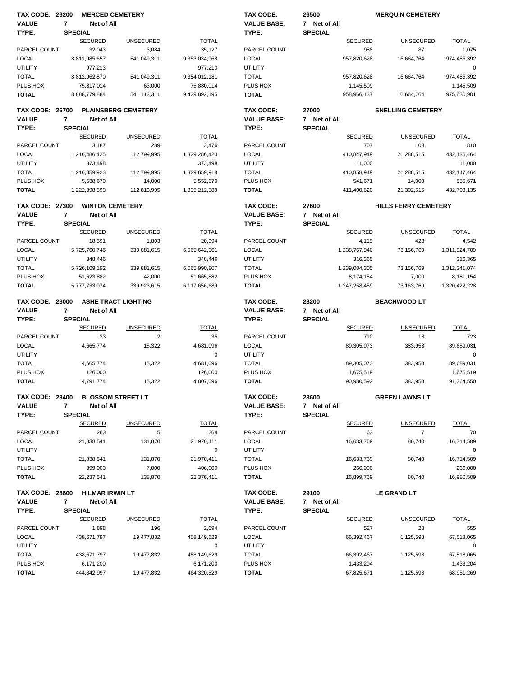| <b>TAX CODE: 26200</b>   |                | <b>MERCED CEMETERY</b>   |                            |                          | <b>TAX CODE:</b>         | 26500          |                         | <b>MERQUIN CEMETERY</b>     |                         |
|--------------------------|----------------|--------------------------|----------------------------|--------------------------|--------------------------|----------------|-------------------------|-----------------------------|-------------------------|
| <b>VALUE</b>             | $\overline{7}$ | Net of All               |                            |                          | <b>VALUE BASE:</b>       | 7 Net of All   |                         |                             |                         |
| TYPE:                    | <b>SPECIAL</b> |                          |                            |                          | TYPE:                    | <b>SPECIAL</b> |                         |                             |                         |
|                          |                | <b>SECURED</b>           | <b>UNSECURED</b>           | <b>TOTAL</b>             |                          |                | <b>SECURED</b>          | <b>UNSECURED</b>            | <b>TOTAL</b>            |
| PARCEL COUNT             |                | 32,043                   | 3,084                      | 35,127                   | PARCEL COUNT             |                | 988                     | 87                          | 1,075                   |
| <b>LOCAL</b>             |                | 8,811,985,657            | 541,049,311                | 9,353,034,968            | LOCAL                    |                | 957,820,628             | 16,664,764                  | 974,485,392             |
|                          |                |                          |                            |                          |                          |                |                         |                             |                         |
| <b>UTILITY</b>           |                | 977,213                  |                            | 977,213                  | <b>UTILITY</b>           |                |                         |                             | $\mathbf 0$             |
| <b>TOTAL</b>             |                | 8,812,962,870            | 541,049,311                | 9,354,012,181            | <b>TOTAL</b>             |                | 957,820,628             | 16,664,764                  | 974,485,392             |
| PLUS HOX                 |                | 75,817,014               | 63,000                     | 75,880,014               | PLUS HOX                 |                | 1,145,509               |                             | 1,145,509               |
| <b>TOTAL</b>             |                | 8,888,779,884            | 541,112,311                | 9,429,892,195            | <b>TOTAL</b>             |                | 958,966,137             | 16,664,764                  | 975,630,901             |
| <b>TAX CODE: 26700</b>   |                |                          | <b>PLAINSBERG CEMETERY</b> |                          | TAX CODE:                | 27000          |                         | <b>SNELLING CEMETERY</b>    |                         |
| <b>VALUE</b>             | 7              | Net of All               |                            |                          | <b>VALUE BASE:</b>       | 7 Net of All   |                         |                             |                         |
| TYPE:                    | <b>SPECIAL</b> |                          |                            |                          | TYPE:                    | <b>SPECIAL</b> |                         |                             |                         |
|                          |                | <b>SECURED</b>           | <b>UNSECURED</b>           | <b>TOTAL</b>             |                          |                | <b>SECURED</b>          | <b>UNSECURED</b>            | <b>TOTAL</b>            |
| PARCEL COUNT             |                | 3,187                    | 289                        | 3,476                    | PARCEL COUNT             |                | 707                     | 103                         | 810                     |
|                          |                |                          |                            |                          |                          |                |                         |                             |                         |
| <b>LOCAL</b>             |                | 1,216,486,425            | 112,799,995                | 1,329,286,420            | LOCAL                    |                | 410,847,949             | 21,288,515                  | 432,136,464             |
| <b>UTILITY</b>           |                | 373,498                  |                            | 373,498                  | <b>UTILITY</b>           |                | 11,000                  |                             | 11,000                  |
| <b>TOTAL</b>             |                | 1,216,859,923            | 112,799,995                | 1,329,659,918            | <b>TOTAL</b>             |                | 410,858,949             | 21,288,515                  | 432, 147, 464           |
| PLUS HOX                 |                | 5,538,670                | 14,000                     | 5,552,670                | PLUS HOX                 |                | 541,671                 | 14,000                      | 555,671                 |
| <b>TOTAL</b>             |                | 1,222,398,593            | 112.813.995                | 1,335,212,588            | <b>TOTAL</b>             |                | 411,400,620             | 21,302,515                  | 432,703,135             |
| <b>TAX CODE: 27300</b>   |                | <b>WINTON CEMETERY</b>   |                            |                          | TAX CODE:                | 27600          |                         | <b>HILLS FERRY CEMETERY</b> |                         |
| <b>VALUE</b>             | $\overline{7}$ | Net of All               |                            |                          | <b>VALUE BASE:</b>       | 7 Net of All   |                         |                             |                         |
| TYPE:                    |                | <b>SPECIAL</b>           |                            |                          | TYPE:                    | <b>SPECIAL</b> |                         |                             |                         |
|                          |                | <b>SECURED</b>           | <b>UNSECURED</b>           | <b>TOTAL</b>             |                          |                | <b>SECURED</b>          | <b>UNSECURED</b>            | <b>TOTAL</b>            |
|                          |                |                          |                            |                          |                          |                |                         |                             |                         |
| PARCEL COUNT             |                | 18,591                   | 1,803                      | 20,394                   | PARCEL COUNT             |                | 4,119                   | 423                         | 4,542                   |
| <b>LOCAL</b>             |                | 5,725,760,746            | 339,881,615                | 6,065,642,361            | LOCAL                    |                | 1,238,767,940           | 73,156,769                  | 1,311,924,709           |
| <b>UTILITY</b>           |                | 348,446                  |                            | 348,446                  | UTILITY                  |                | 316,365                 |                             | 316,365                 |
| <b>TOTAL</b>             |                | 5,726,109,192            | 339,881,615                | 6,065,990,807            | <b>TOTAL</b>             |                | 1,239,084,305           | 73,156,769                  | 1,312,241,074           |
| PLUS HOX                 |                | 51,623,882               | 42,000                     | 51,665,882               | PLUS HOX                 |                | 8,174,154               | 7,000                       | 8,181,154               |
| <b>TOTAL</b>             |                | 5,777,733,074            | 339,923,615                | 6,117,656,689            | <b>TOTAL</b>             |                | 1,247,258,459           | 73,163,769                  | 1,320,422,228           |
|                          |                |                          |                            |                          |                          |                |                         |                             |                         |
|                          |                |                          | <b>ASHE TRACT LIGHTING</b> |                          | TAX CODE:                | 28200          |                         |                             |                         |
| <b>TAX CODE: 28000</b>   |                |                          |                            |                          |                          |                |                         | <b>BEACHWOOD LT</b>         |                         |
| <b>VALUE</b>             | 7              | Net of All               |                            |                          | <b>VALUE BASE:</b>       | 7 Net of All   |                         |                             |                         |
| TYPE:                    | <b>SPECIAL</b> |                          |                            |                          | TYPE:                    | <b>SPECIAL</b> |                         |                             |                         |
|                          |                | <b>SECURED</b>           | <b>UNSECURED</b>           | <b>TOTAL</b>             |                          |                | <b>SECURED</b>          | <b>UNSECURED</b>            | <b>TOTAL</b>            |
|                          |                |                          |                            |                          |                          |                |                         |                             |                         |
| PARCEL COUNT             |                | 33                       | $\overline{2}$             | 35                       | PARCEL COUNT             |                | 710                     | 13                          | 723                     |
| <b>LOCAL</b>             |                | 4,665,774                | 15,322                     | 4,681,096                | LOCAL                    |                | 89,305,073              | 383,958                     | 89,689,031              |
| <b>UTILITY</b>           |                |                          |                            | 0                        | UTILITY                  |                |                         |                             | $\mathbf 0$             |
| <b>TOTAL</b>             |                | 4,665,774                | 15,322                     | 4,681,096                | <b>TOTAL</b>             |                | 89,305,073              | 383,958                     | 89,689,031              |
| PLUS HOX                 |                | 126,000                  |                            | 126,000                  | PLUS HOX                 |                | 1,675,519               |                             | 1,675,519               |
| <b>TOTAL</b>             |                | 4.791.774                | 15,322                     | 4,807,096                | <b>TOTAL</b>             |                | 90,980,592              | 383.958                     | 91,364,550              |
|                          |                |                          |                            |                          |                          |                |                         |                             |                         |
| <b>TAX CODE: 28400</b>   |                |                          | <b>BLOSSOM STREET LT</b>   |                          | TAX CODE:                | 28600          |                         | <b>GREEN LAWNS LT</b>       |                         |
| <b>VALUE</b>             | 7              | Net of All               |                            |                          | <b>VALUE BASE:</b>       | 7 Net of All   |                         |                             |                         |
| TYPE:                    | <b>SPECIAL</b> |                          |                            |                          | TYPE:                    | <b>SPECIAL</b> |                         |                             |                         |
|                          |                | <b>SECURED</b>           | <b>UNSECURED</b>           | <b>TOTAL</b>             |                          |                | <b>SECURED</b>          | <b>UNSECURED</b>            | <b>TOTAL</b>            |
| PARCEL COUNT             |                | 263                      | 5                          | 268                      | PARCEL COUNT             |                | 63                      | $\overline{7}$              | 70                      |
| <b>LOCAL</b>             |                | 21,838,541               | 131,870                    | 21,970,411               | LOCAL                    |                | 16,633,769              | 80,740                      | 16,714,509              |
| <b>UTILITY</b>           |                |                          |                            | 0                        | <b>UTILITY</b>           |                |                         |                             | 0                       |
| <b>TOTAL</b>             |                | 21,838,541               | 131,870                    | 21,970,411               | <b>TOTAL</b>             |                | 16,633,769              | 80,740                      | 16,714,509              |
| PLUS HOX                 |                |                          |                            |                          |                          |                |                         |                             |                         |
| <b>TOTAL</b>             |                | 399,000<br>22,237,541    | 7,000<br>138,870           | 406,000<br>22,376,411    | PLUS HOX<br><b>TOTAL</b> |                | 266,000<br>16,899,769   | 80,740                      | 266,000<br>16,980,509   |
|                          |                |                          |                            |                          |                          |                |                         |                             |                         |
| <b>TAX CODE: 28800</b>   |                | <b>HILMAR IRWIN LT</b>   |                            |                          | TAX CODE:                | 29100          |                         | <b>LE GRAND LT</b>          |                         |
| <b>VALUE</b>             | 7              | Net of All               |                            |                          | <b>VALUE BASE:</b>       | 7 Net of All   |                         |                             |                         |
| TYPE:                    | <b>SPECIAL</b> |                          |                            |                          | TYPE:                    | <b>SPECIAL</b> |                         |                             |                         |
|                          |                | <b>SECURED</b>           | <b>UNSECURED</b>           | <b>TOTAL</b>             |                          |                | <b>SECURED</b>          | <b>UNSECURED</b>            | <b>TOTAL</b>            |
| PARCEL COUNT             |                | 1,898                    | 196                        | 2,094                    | PARCEL COUNT             |                | 527                     | 28                          | 555                     |
| LOCAL                    |                | 438,671,797              | 19,477,832                 | 458,149,629              | LOCAL                    |                | 66,392,467              | 1,125,598                   | 67,518,065              |
| UTILITY                  |                |                          |                            | 0                        | UTILITY                  |                |                         |                             | 0                       |
|                          |                |                          |                            |                          |                          |                |                         |                             |                         |
| <b>TOTAL</b>             |                | 438,671,797              | 19,477,832                 | 458,149,629              | <b>TOTAL</b>             |                | 66,392,467              | 1,125,598                   | 67,518,065              |
| PLUS HOX<br><b>TOTAL</b> |                | 6,171,200<br>444,842,997 | 19,477,832                 | 6,171,200<br>464,320,829 | PLUS HOX<br><b>TOTAL</b> |                | 1,433,204<br>67,825,671 | 1,125,598                   | 1,433,204<br>68,951,269 |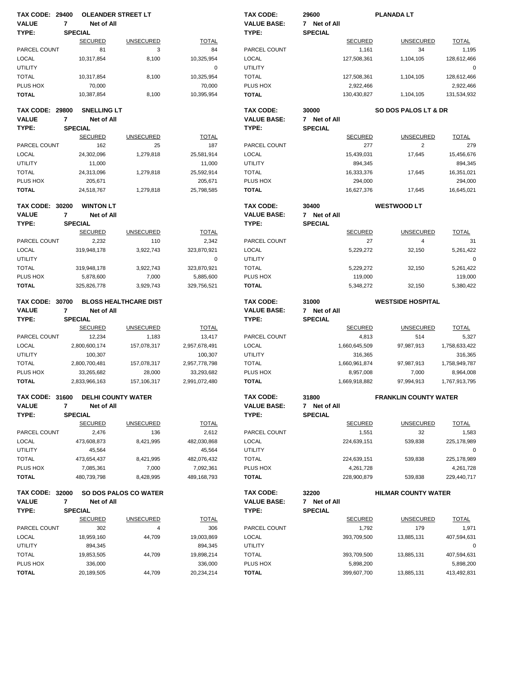| <b>TAX CODE: 29400</b>   |                | <b>OLEANDER STREET LT</b> |                              |                       | <b>TAX CODE:</b>         | 29600          |                          | <b>PLANADA LT</b>               |                          |
|--------------------------|----------------|---------------------------|------------------------------|-----------------------|--------------------------|----------------|--------------------------|---------------------------------|--------------------------|
| <b>VALUE</b>             | $\overline{7}$ | Net of All                |                              |                       | <b>VALUE BASE:</b>       | 7 Net of All   |                          |                                 |                          |
| TYPE:                    |                | <b>SPECIAL</b>            |                              |                       | TYPE:                    | <b>SPECIAL</b> |                          |                                 |                          |
|                          |                | <b>SECURED</b>            | <b>UNSECURED</b>             | <b>TOTAL</b>          |                          |                | <b>SECURED</b>           | <b>UNSECURED</b>                | <b>TOTAL</b>             |
| PARCEL COUNT             |                | 81                        | 3                            | 84                    | PARCEL COUNT             |                | 1,161                    | 34                              | 1,195                    |
| <b>LOCAL</b>             |                | 10,317,854                | 8,100                        | 10,325,954            | LOCAL                    |                | 127,508,361              | 1,104,105                       | 128,612,466              |
| <b>UTILITY</b>           |                |                           |                              | 0                     | <b>UTILITY</b>           |                |                          |                                 | $\mathbf 0$              |
| <b>TOTAL</b>             |                | 10,317,854                | 8,100                        | 10,325,954            | <b>TOTAL</b>             |                | 127,508,361              | 1,104,105                       | 128,612,466              |
| PLUS HOX                 |                | 70,000                    |                              | 70,000                | PLUS HOX                 |                | 2,922,466                |                                 | 2,922,466                |
| <b>TOTAL</b>             |                | 10,387,854                | 8,100                        | 10,395,954            | <b>TOTAL</b>             |                | 130,430,827              | 1,104,105                       | 131,534,932              |
| <b>TAX CODE: 29800</b>   |                | <b>SNELLING LT</b>        |                              |                       | <b>TAX CODE:</b>         | 30000          |                          | <b>SO DOS PALOS LT &amp; DR</b> |                          |
| <b>VALUE</b>             | 7              | Net of All                |                              |                       | <b>VALUE BASE:</b>       | 7 Net of All   |                          |                                 |                          |
| TYPE:                    |                | <b>SPECIAL</b>            |                              |                       | TYPE:                    | <b>SPECIAL</b> |                          |                                 |                          |
|                          |                | <b>SECURED</b>            | <b>UNSECURED</b>             | <b>TOTAL</b>          |                          |                | <b>SECURED</b>           | <b>UNSECURED</b>                | <b>TOTAL</b>             |
| PARCEL COUNT             |                | 162                       | 25                           | 187                   | PARCEL COUNT             |                | 277                      | 2                               | 279                      |
| <b>LOCAL</b>             |                | 24,302,096                | 1,279,818                    | 25,581,914            | <b>LOCAL</b>             |                | 15,439,031               | 17,645                          | 15,456,676               |
| <b>UTILITY</b>           |                | 11,000                    |                              | 11,000                | <b>UTILITY</b>           |                | 894,345                  |                                 | 894,345                  |
| <b>TOTAL</b>             |                | 24,313,096                | 1,279,818                    | 25,592,914            | <b>TOTAL</b>             |                | 16,333,376               | 17,645                          | 16,351,021               |
| PLUS HOX                 |                | 205,671                   |                              | 205,671               | PLUS HOX                 |                | 294,000                  |                                 | 294,000                  |
| <b>TOTAL</b>             |                | 24,518,767                | 1,279,818                    | 25,798,585            | <b>TOTAL</b>             |                | 16,627,376               | 17,645                          | 16,645,021               |
| <b>TAX CODE: 30200</b>   |                | <b>WINTON LT</b>          |                              |                       | TAX CODE:                | 30400          |                          | <b>WESTWOOD LT</b>              |                          |
| <b>VALUE</b>             | $\overline{7}$ | Net of All                |                              |                       | <b>VALUE BASE:</b>       | 7 Net of All   |                          |                                 |                          |
| TYPE:                    |                | <b>SPECIAL</b>            |                              |                       | TYPE:                    | <b>SPECIAL</b> |                          |                                 |                          |
|                          |                | <b>SECURED</b>            | <b>UNSECURED</b>             | <b>TOTAL</b>          |                          |                | <b>SECURED</b>           | <b>UNSECURED</b>                | <b>TOTAL</b>             |
| PARCEL COUNT             |                | 2,232                     | 110                          | 2,342                 | PARCEL COUNT             |                | 27                       | 4                               | 31                       |
| <b>LOCAL</b>             |                | 319,948,178               | 3,922,743                    | 323,870,921           | <b>LOCAL</b>             |                | 5,229,272                | 32,150                          | 5,261,422                |
| <b>UTILITY</b>           |                |                           |                              | 0                     | <b>UTILITY</b>           |                |                          |                                 | 0                        |
| <b>TOTAL</b>             |                | 319,948,178               | 3,922,743                    | 323,870,921           | <b>TOTAL</b>             |                | 5,229,272                | 32,150                          | 5,261,422                |
| PLUS HOX                 |                | 5,878,600                 | 7,000                        | 5,885,600             | PLUS HOX                 |                | 119,000                  |                                 | 119,000                  |
| <b>TOTAL</b>             |                | 325,826,778               | 3,929,743                    | 329,756,521           | <b>TOTAL</b>             |                | 5,348,272                | 32,150                          | 5,380,422                |
| <b>TAX CODE: 30700</b>   |                |                           | <b>BLOSS HEALTHCARE DIST</b> |                       | <b>TAX CODE:</b>         | 31000          |                          | <b>WESTSIDE HOSPITAL</b>        |                          |
|                          |                |                           |                              |                       |                          |                |                          |                                 |                          |
| <b>VALUE</b>             | 7              | Net of All                |                              |                       | <b>VALUE BASE:</b>       | 7 Net of All   |                          |                                 |                          |
| TYPE:                    |                | <b>SPECIAL</b>            |                              |                       | TYPE:                    | <b>SPECIAL</b> |                          |                                 |                          |
|                          |                | <b>SECURED</b>            | <b>UNSECURED</b>             | <b>TOTAL</b>          |                          |                | <b>SECURED</b>           | <b>UNSECURED</b>                | <b>TOTAL</b>             |
| PARCEL COUNT             |                | 12,234                    | 1,183                        | 13,417                | PARCEL COUNT             |                | 4,813                    | 514                             | 5,327                    |
| <b>LOCAL</b>             |                | 2,800,600,174             | 157,078,317                  | 2,957,678,491         | <b>LOCAL</b>             |                | 1,660,645,509            | 97,987,913                      | 1,758,633,422            |
| <b>UTILITY</b>           |                | 100,307                   |                              | 100,307               | <b>UTILITY</b>           |                | 316,365                  |                                 | 316,365                  |
| <b>TOTAL</b>             |                | 2,800,700,481             | 157,078,317                  | 2,957,778,798         | <b>TOTAL</b>             |                | 1,660,961,874            | 97,987,913                      | 1,758,949,787            |
| PLUS HOX                 |                | 33,265,682                | 28,000                       | 33,293,682            | PLUS HOX                 |                | 8,957,008                | 7,000                           | 8,964,008                |
| <b>TOTAL</b>             |                | 2,833,966,163             | 157, 106, 317                | 2,991,072,480         | <b>TOTAL</b>             |                | 1,669,918,882            | 97,994,913                      | 1,767,913,795            |
| TAX CODE: 31600          |                | <b>DELHI COUNTY WATER</b> |                              |                       | TAX CODE:                | 31800          |                          | <b>FRANKLIN COUNTY WATER</b>    |                          |
| <b>VALUE</b>             | 7              | Net of All                |                              |                       | <b>VALUE BASE:</b>       | 7 Net of All   |                          |                                 |                          |
| TYPE:                    |                | <b>SPECIAL</b>            |                              |                       | TYPE:                    | <b>SPECIAL</b> |                          |                                 |                          |
|                          |                | <b>SECURED</b>            | <b>UNSECURED</b>             | <b>TOTAL</b>          |                          |                | <b>SECURED</b>           | <b>UNSECURED</b>                | <b>TOTAL</b>             |
| PARCEL COUNT             |                | 2,476                     | 136                          | 2,612                 | PARCEL COUNT             |                | 1,551                    | 32                              | 1,583                    |
| LOCAL                    |                | 473,608,873               | 8,421,995                    | 482,030,868           | LOCAL                    |                | 224,639,151              | 539,838                         | 225,178,989              |
| <b>UTILITY</b>           |                | 45,564                    |                              | 45,564                | <b>UTILITY</b>           |                |                          |                                 | 0                        |
| <b>TOTAL</b>             |                | 473,654,437               | 8,421,995                    | 482,076,432           | <b>TOTAL</b>             |                | 224,639,151              | 539,838                         | 225,178,989              |
| PLUS HOX                 |                | 7,085,361                 | 7,000                        | 7,092,361             | PLUS HOX                 |                | 4,261,728                |                                 | 4,261,728                |
| <b>TOTAL</b>             |                | 480,739,798               | 8,428,995                    | 489, 168, 793         | <b>TOTAL</b>             |                | 228,900,879              | 539,838                         | 229,440,717              |
| <b>TAX CODE: 32000</b>   |                |                           | <b>SO DOS PALOS CO WATER</b> |                       | TAX CODE:                | 32200          |                          | <b>HILMAR COUNTY WATER</b>      |                          |
| <b>VALUE</b>             | 7              | Net of All                |                              |                       | <b>VALUE BASE:</b>       | 7 Net of All   |                          |                                 |                          |
| TYPE:                    |                | <b>SPECIAL</b>            |                              |                       | TYPE:                    | <b>SPECIAL</b> |                          |                                 |                          |
|                          |                | <b>SECURED</b>            | <b>UNSECURED</b>             | <b>TOTAL</b>          |                          |                | <b>SECURED</b>           | <b>UNSECURED</b>                | <b>TOTAL</b>             |
| PARCEL COUNT             |                | 302                       | 4                            | 306                   | PARCEL COUNT             |                | 1,792                    | 179                             | 1,971                    |
| LOCAL                    |                | 18,959,160                | 44,709                       | 19,003,869            | LOCAL                    |                | 393,709,500              | 13,885,131                      | 407,594,631              |
| <b>UTILITY</b>           |                | 894,345                   |                              | 894,345               | <b>UTILITY</b>           |                |                          |                                 | 0                        |
| <b>TOTAL</b>             |                | 19,853,505                | 44,709                       | 19,898,214            | <b>TOTAL</b>             |                | 393,709,500              | 13,885,131                      | 407,594,631              |
| PLUS HOX<br><b>TOTAL</b> |                | 336,000<br>20,189,505     | 44,709                       | 336,000<br>20,234,214 | PLUS HOX<br><b>TOTAL</b> |                | 5,898,200<br>399,607,700 | 13,885,131                      | 5,898,200<br>413,492,831 |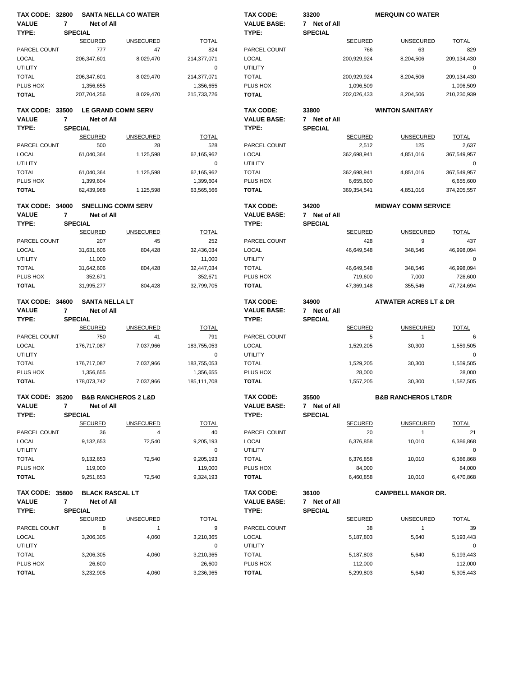|                                        | <b>TAX CODE: 32800</b> |                              | <b>SANTA NELLA CO WATER</b>        |               | <b>TAX CODE:</b>                | 33200                 |                | <b>MERQUIN CO WATER</b>            |              |
|----------------------------------------|------------------------|------------------------------|------------------------------------|---------------|---------------------------------|-----------------------|----------------|------------------------------------|--------------|
| <b>VALUE</b>                           | $\overline{7}$         | Net of All                   |                                    |               | <b>VALUE BASE:</b>              | 7 Net of All          |                |                                    |              |
| TYPE:                                  |                        | <b>SPECIAL</b>               |                                    |               | TYPE:                           | <b>SPECIAL</b>        |                |                                    |              |
|                                        |                        | <b>SECURED</b>               | <b>UNSECURED</b>                   | <b>TOTAL</b>  |                                 |                       | <b>SECURED</b> | <b>UNSECURED</b>                   | <b>TOTAL</b> |
| PARCEL COUNT                           |                        | 777                          | 47                                 | 824           | PARCEL COUNT                    |                       | 766            | 63                                 | 829          |
| <b>LOCAL</b>                           |                        | 206,347,601                  | 8,029,470                          | 214,377,071   | <b>LOCAL</b>                    |                       | 200,929,924    | 8,204,506                          | 209,134,430  |
| <b>UTILITY</b>                         |                        |                              |                                    | 0             | <b>UTILITY</b>                  |                       |                |                                    | $\mathbf 0$  |
| <b>TOTAL</b>                           |                        | 206,347,601                  | 8,029,470                          | 214,377,071   | <b>TOTAL</b>                    |                       | 200,929,924    | 8,204,506                          | 209,134,430  |
| PLUS HOX                               |                        | 1,356,655                    |                                    | 1,356,655     | PLUS HOX                        |                       | 1,096,509      |                                    | 1,096,509    |
| <b>TOTAL</b>                           |                        | 207,704,256                  | 8,029,470                          | 215,733,726   | <b>TOTAL</b>                    |                       | 202,026,433    | 8,204,506                          | 210,230,939  |
| <b>TAX CODE: 33500</b>                 |                        |                              | <b>LE GRAND COMM SERV</b>          |               | <b>TAX CODE:</b>                | 33800                 |                | <b>WINTON SANITARY</b>             |              |
| <b>VALUE</b>                           | 7                      | Net of All                   |                                    |               | <b>VALUE BASE:</b>              | 7 Net of All          |                |                                    |              |
| TYPE:                                  |                        | <b>SPECIAL</b>               |                                    |               | TYPE:                           | <b>SPECIAL</b>        |                |                                    |              |
|                                        |                        | <b>SECURED</b>               | <b>UNSECURED</b>                   | <b>TOTAL</b>  |                                 |                       | <b>SECURED</b> | <b>UNSECURED</b>                   | <b>TOTAL</b> |
| PARCEL COUNT                           |                        | 500                          | 28                                 | 528           | PARCEL COUNT                    |                       | 2,512          | 125                                | 2,637        |
| <b>LOCAL</b>                           |                        | 61,040,364                   | 1,125,598                          | 62,165,962    | <b>LOCAL</b>                    |                       | 362,698,941    | 4,851,016                          | 367,549,957  |
| <b>UTILITY</b>                         |                        |                              |                                    | $\mathbf 0$   | <b>UTILITY</b>                  |                       |                |                                    | 0            |
| <b>TOTAL</b>                           |                        | 61,040,364                   | 1,125,598                          | 62,165,962    | <b>TOTAL</b>                    |                       | 362,698,941    | 4,851,016                          | 367,549,957  |
| PLUS HOX                               |                        | 1,399,604                    |                                    | 1,399,604     | PLUS HOX                        |                       | 6,655,600      |                                    | 6,655,600    |
| <b>TOTAL</b>                           |                        | 62,439,968                   | 1,125,598                          | 63,565,566    | <b>TOTAL</b>                    |                       | 369,354,541    | 4,851,016                          | 374,205,557  |
|                                        |                        |                              |                                    |               |                                 |                       |                |                                    |              |
| <b>TAX CODE: 34000</b><br><b>VALUE</b> | $\overline{7}$         |                              | <b>SNELLING COMM SERV</b>          |               | TAX CODE:<br><b>VALUE BASE:</b> | 34200<br>7 Net of All |                | <b>MIDWAY COMM SERVICE</b>         |              |
| TYPE:                                  |                        | Net of All<br><b>SPECIAL</b> |                                    |               | TYPE:                           | <b>SPECIAL</b>        |                |                                    |              |
|                                        |                        | <b>SECURED</b>               | <b>UNSECURED</b>                   | <b>TOTAL</b>  |                                 |                       | <b>SECURED</b> | <b>UNSECURED</b>                   | <b>TOTAL</b> |
| PARCEL COUNT                           |                        | 207                          | 45                                 | 252           | PARCEL COUNT                    |                       | 428            | 9                                  | 437          |
| <b>LOCAL</b>                           |                        | 31,631,606                   | 804,428                            | 32,436,034    | LOCAL                           |                       | 46,649,548     | 348,546                            | 46,998,094   |
| <b>UTILITY</b>                         |                        | 11,000                       |                                    | 11,000        | <b>UTILITY</b>                  |                       |                |                                    | $\mathbf 0$  |
| <b>TOTAL</b>                           |                        | 31,642,606                   | 804,428                            | 32,447,034    | <b>TOTAL</b>                    |                       | 46,649,548     | 348,546                            | 46,998,094   |
| PLUS HOX                               |                        | 352,671                      |                                    | 352,671       | PLUS HOX                        |                       | 719,600        | 7,000                              | 726,600      |
| <b>TOTAL</b>                           |                        | 31,995,277                   | 804,428                            | 32,799,705    | <b>TOTAL</b>                    |                       | 47,369,148     | 355,546                            | 47,724,694   |
|                                        |                        |                              |                                    |               |                                 |                       |                |                                    |              |
| <b>TAX CODE: 34600</b>                 |                        | <b>SANTA NELLA LT</b>        |                                    |               | <b>TAX CODE:</b>                | 34900                 |                | <b>ATWATER ACRES LT &amp; DR</b>   |              |
| <b>VALUE</b>                           | $\overline{7}$         | Net of All                   |                                    |               | <b>VALUE BASE:</b>              | 7 Net of All          |                |                                    |              |
|                                        |                        |                              |                                    |               |                                 |                       |                |                                    |              |
| TYPE:                                  |                        | <b>SPECIAL</b>               |                                    |               | TYPE:                           | <b>SPECIAL</b>        |                |                                    |              |
|                                        |                        | <b>SECURED</b>               | <b>UNSECURED</b>                   | <b>TOTAL</b>  |                                 |                       | <b>SECURED</b> | <b>UNSECURED</b>                   | <b>TOTAL</b> |
| PARCEL COUNT                           |                        | 750                          | 41                                 | 791           | PARCEL COUNT                    |                       | 5              | $\mathbf{1}$                       | 6            |
| <b>LOCAL</b>                           |                        | 176,717,087                  | 7,037,966                          | 183,755,053   | LOCAL                           |                       | 1,529,205      | 30,300                             | 1,559,505    |
| <b>UTILITY</b>                         |                        |                              |                                    | 0             | <b>UTILITY</b>                  |                       |                |                                    | $\mathbf 0$  |
| <b>TOTAL</b>                           |                        | 176,717,087                  | 7,037,966                          | 183,755,053   | <b>TOTAL</b>                    |                       | 1,529,205      | 30,300                             | 1,559,505    |
| PLUS HOX                               |                        | 1,356,655                    |                                    | 1,356,655     | PLUS HOX                        |                       | 28,000         |                                    | 28,000       |
| <b>TOTAL</b>                           |                        | 178,073,742                  | 7,037,966                          | 185, 111, 708 | <b>TOTAL</b>                    |                       | 1,557,205      | 30,300                             | 1,587,505    |
| <b>TAX CODE: 35200</b>                 |                        |                              | <b>B&amp;B RANCHEROS 2 L&amp;D</b> |               | TAX CODE:                       | 35500                 |                | <b>B&amp;B RANCHEROS LT&amp;DR</b> |              |
| <b>VALUE</b>                           | 7                      | Net of All                   |                                    |               | <b>VALUE BASE:</b>              | 7 Net of All          |                |                                    |              |
| TYPE:                                  |                        | <b>SPECIAL</b>               |                                    |               | TYPE:                           | <b>SPECIAL</b>        |                |                                    |              |
|                                        |                        | <b>SECURED</b>               | <b>UNSECURED</b>                   | <b>TOTAL</b>  |                                 |                       | <b>SECURED</b> | <b>UNSECURED</b>                   | <b>TOTAL</b> |
| PARCEL COUNT                           |                        | 36                           | 4                                  | 40            | PARCEL COUNT                    |                       | 20             | $\mathbf{1}$                       | 21           |
| <b>LOCAL</b>                           |                        | 9,132,653                    | 72,540                             | 9,205,193     | LOCAL                           |                       | 6,376,858      | 10,010                             | 6,386,868    |
| <b>UTILITY</b>                         |                        |                              |                                    | 0             | <b>UTILITY</b>                  |                       |                |                                    | 0            |
| <b>TOTAL</b>                           |                        | 9,132,653                    | 72,540                             | 9,205,193     | <b>TOTAL</b>                    |                       | 6,376,858      | 10,010                             | 6,386,868    |
| PLUS HOX                               |                        | 119,000                      |                                    | 119,000       | PLUS HOX                        |                       | 84,000         |                                    | 84,000       |
| <b>TOTAL</b>                           |                        | 9,251,653                    | 72,540                             | 9,324,193     | <b>TOTAL</b>                    |                       | 6,460,858      | 10,010                             | 6,470,868    |
| <b>TAX CODE: 35800</b>                 |                        | <b>BLACK RASCAL LT</b>       |                                    |               | <b>TAX CODE:</b>                |                       |                | <b>CAMPBELL MANOR DR.</b>          |              |
| <b>VALUE</b>                           | 7                      | Net of All                   |                                    |               | <b>VALUE BASE:</b>              | 36100<br>7 Net of All |                |                                    |              |
| TYPE:                                  |                        | <b>SPECIAL</b>               |                                    |               | TYPE:                           | <b>SPECIAL</b>        |                |                                    |              |
|                                        |                        | <b>SECURED</b>               | <b>UNSECURED</b>                   | <b>TOTAL</b>  |                                 |                       | <b>SECURED</b> | <b>UNSECURED</b>                   | <b>TOTAL</b> |
| PARCEL COUNT                           |                        | 8                            | $\mathbf{1}$                       | 9             | PARCEL COUNT                    |                       | 38             | $\mathbf{1}$                       | 39           |
| <b>LOCAL</b>                           |                        | 3,206,305                    | 4,060                              | 3,210,365     | <b>LOCAL</b>                    |                       | 5,187,803      | 5,640                              | 5,193,443    |
| <b>UTILITY</b>                         |                        |                              |                                    | 0             | <b>UTILITY</b>                  |                       |                |                                    | 0            |
| <b>TOTAL</b>                           |                        | 3,206,305                    | 4,060                              | 3,210,365     | <b>TOTAL</b>                    |                       | 5,187,803      | 5,640                              | 5,193,443    |
| PLUS HOX                               |                        | 26,600                       |                                    | 26,600        | PLUS HOX                        |                       | 112,000        |                                    | 112,000      |
| <b>TOTAL</b>                           |                        | 3,232,905                    | 4,060                              | 3,236,965     | <b>TOTAL</b>                    |                       | 5,299,803      | 5,640                              | 5,305,443    |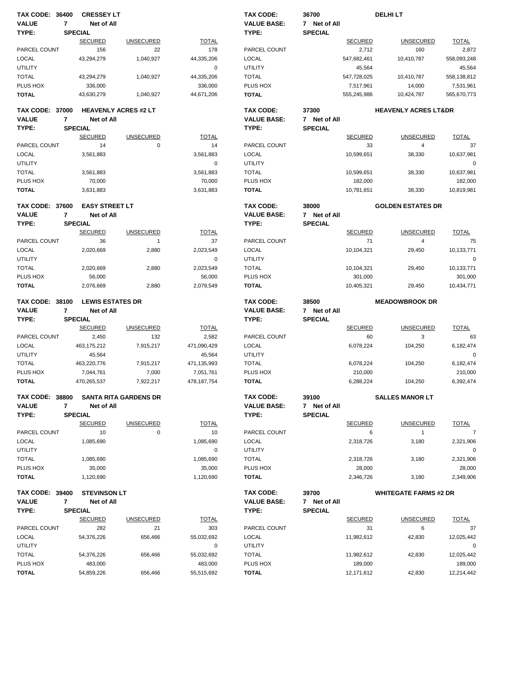| <b>TAX CODE: 36400</b>                 |                | <b>CRESSEY LT</b>                         |                  |                       | <b>TAX CODE:</b>                       | 36700                 |                       | <b>DELHILT</b>                  |                       |
|----------------------------------------|----------------|-------------------------------------------|------------------|-----------------------|----------------------------------------|-----------------------|-----------------------|---------------------------------|-----------------------|
| <b>VALUE</b>                           | 7              | Net of All                                |                  |                       | <b>VALUE BASE:</b>                     | 7 Net of All          |                       |                                 |                       |
| TYPE:                                  |                | <b>SPECIAL</b>                            |                  |                       | TYPE:                                  | <b>SPECIAL</b>        |                       |                                 |                       |
|                                        |                | <b>SECURED</b>                            | <b>UNSECURED</b> | <b>TOTAL</b>          |                                        |                       | <b>SECURED</b>        | <b>UNSECURED</b>                | <b>TOTAL</b>          |
| PARCEL COUNT                           |                | 156                                       | 22               | 178                   | PARCEL COUNT                           |                       | 2,712                 | 160                             | 2,872                 |
| <b>LOCAL</b>                           |                | 43,294,279                                | 1,040,927        | 44,335,206            | <b>LOCAL</b>                           |                       | 547,682,461           | 10,410,787                      | 558,093,248           |
| <b>UTILITY</b>                         |                |                                           |                  | $\mathbf 0$           | <b>UTILITY</b>                         |                       | 45,564                |                                 | 45,564                |
| <b>TOTAL</b>                           |                | 43,294,279                                | 1,040,927        | 44,335,206            | <b>TOTAL</b>                           |                       | 547,728,025           | 10,410,787                      | 558,138,812           |
| PLUS HOX                               |                | 336,000                                   |                  | 336,000               | PLUS HOX                               |                       | 7,517,961             | 14,000                          | 7,531,961             |
| <b>TOTAL</b>                           |                | 43,630,279                                | 1,040,927        | 44,671,206            | <b>TOTAL</b>                           |                       | 555,245,986           | 10,424,787                      | 565,670,773           |
| <b>TAX CODE: 37000</b><br><b>VALUE</b> | $\overline{7}$ | <b>HEAVENLY ACRES #2 LT</b><br>Net of All |                  |                       | <b>TAX CODE:</b><br><b>VALUE BASE:</b> | 37300<br>7 Net of All |                       | <b>HEAVENLY ACRES LT&amp;DR</b> |                       |
| TYPE:                                  |                | <b>SPECIAL</b>                            |                  |                       | TYPE:                                  | <b>SPECIAL</b>        |                       |                                 |                       |
|                                        |                | <b>SECURED</b>                            | <b>UNSECURED</b> | <b>TOTAL</b>          |                                        |                       | <b>SECURED</b>        | <b>UNSECURED</b>                | <b>TOTAL</b>          |
| PARCEL COUNT                           |                | 14                                        | $\mathbf 0$      | 14                    | PARCEL COUNT                           |                       | 33                    | $\overline{4}$                  | 37                    |
| <b>LOCAL</b>                           |                | 3,561,883                                 |                  | 3,561,883             | LOCAL                                  |                       | 10,599,651            | 38,330                          | 10,637,981            |
| <b>UTILITY</b>                         |                |                                           |                  | 0                     | <b>UTILITY</b>                         |                       |                       |                                 | $\mathbf 0$           |
| <b>TOTAL</b>                           |                | 3,561,883                                 |                  | 3,561,883             | <b>TOTAL</b>                           |                       | 10,599,651            | 38,330                          | 10,637,981            |
| PLUS HOX                               |                | 70,000                                    |                  | 70,000                | PLUS HOX                               |                       | 182,000               |                                 | 182,000               |
| <b>TOTAL</b>                           |                | 3,631,883                                 |                  | 3,631,883             | <b>TOTAL</b>                           |                       | 10,781,651            | 38,330                          | 10,819,981            |
| <b>TAX CODE: 37600</b>                 |                | <b>EASY STREET LT</b>                     |                  |                       | <b>TAX CODE:</b>                       | 38000                 |                       | <b>GOLDEN ESTATES DR</b>        |                       |
| <b>VALUE</b>                           | $\overline{7}$ | Net of All                                |                  |                       | <b>VALUE BASE:</b>                     | 7 Net of All          |                       |                                 |                       |
| TYPE:                                  |                | <b>SPECIAL</b>                            |                  |                       | TYPE:                                  | <b>SPECIAL</b>        |                       |                                 |                       |
|                                        |                | <b>SECURED</b>                            | <b>UNSECURED</b> | <b>TOTAL</b>          |                                        |                       | <b>SECURED</b>        | <b>UNSECURED</b>                | <b>TOTAL</b>          |
| PARCEL COUNT                           |                | 36                                        | $\mathbf{1}$     | 37                    | PARCEL COUNT                           |                       | 71                    | 4                               | 75                    |
| <b>LOCAL</b>                           |                | 2,020,669                                 | 2,880            | 2,023,549             | <b>LOCAL</b>                           |                       | 10,104,321            | 29,450                          | 10,133,771            |
| <b>UTILITY</b>                         |                |                                           |                  | 0                     | <b>UTILITY</b>                         |                       |                       |                                 | 0                     |
| <b>TOTAL</b>                           |                | 2,020,669                                 | 2,880            | 2,023,549             | <b>TOTAL</b>                           |                       | 10,104,321            | 29,450                          | 10,133,771            |
| PLUS HOX                               |                | 56,000                                    |                  | 56,000                | PLUS HOX                               |                       | 301,000               |                                 | 301,000               |
| <b>TOTAL</b>                           |                | 2,076,669                                 | 2,880            | 2,079,549             | <b>TOTAL</b>                           |                       | 10,405,321            | 29,450                          | 10,434,771            |
| <b>TAX CODE: 38100</b><br><b>VALUE</b> | 7              | <b>LEWIS ESTATES DR</b><br>Net of All     |                  |                       | TAX CODE:<br><b>VALUE BASE:</b>        | 38500<br>7 Net of All |                       | <b>MEADOWBROOK DR</b>           |                       |
| TYPE:                                  |                | <b>SPECIAL</b>                            |                  |                       | TYPE:                                  | <b>SPECIAL</b>        |                       |                                 |                       |
|                                        |                | <b>SECURED</b>                            | <b>UNSECURED</b> | <b>TOTAL</b>          |                                        |                       | <b>SECURED</b>        | <b>UNSECURED</b>                | <b>TOTAL</b>          |
| PARCEL COUNT                           |                | 2,450                                     | 132              | 2,582                 | PARCEL COUNT                           |                       | 60                    | 3                               | 63                    |
| <b>LOCAL</b>                           |                | 463,175,212                               | 7,915,217        | 471,090,429           | LOCAL                                  |                       | 6.078.224             | 104,250                         | 6,182,474             |
| <b>UTILITY</b>                         |                | 45,564                                    |                  | 45,564                | <b>UTILITY</b>                         |                       |                       |                                 | $\mathbf 0$           |
| <b>TOTAL</b>                           |                | 463,220,776                               | 7,915,217        | 471,135,993           | <b>TOTAL</b>                           |                       | 6,078,224             | 104,250                         | 6,182,474             |
| PLUS HOX                               |                | 7,044,761                                 | 7,000            | 7,051,761             | PLUS HOX                               |                       | 210,000               |                                 | 210,000               |
| <b>TOTAL</b>                           |                | 470,265,537                               | 7,922,217        | 478, 187, 754         | <b>TOTAL</b>                           |                       | 6,288,224             | 104,250                         | 6,392,474             |
| TAX CODE: 38800                        |                | SANTA RITA GARDENS DR                     |                  |                       | TAX CODE:                              | 39100                 |                       |                                 |                       |
| VALUE                                  |                |                                           |                  |                       |                                        |                       |                       | <b>SALLES MANOR LT</b>          |                       |
|                                        | 7              | Net of All                                |                  |                       | <b>VALUE BASE:</b>                     | 7 Net of All          |                       |                                 |                       |
| TYPE:                                  |                | <b>SPECIAL</b>                            |                  |                       | TYPE:                                  | <b>SPECIAL</b>        |                       |                                 |                       |
|                                        |                | <b>SECURED</b>                            | <b>UNSECURED</b> | <b>TOTAL</b>          |                                        |                       | <b>SECURED</b>        | <b>UNSECURED</b>                | <b>TOTAL</b>          |
| PARCEL COUNT                           |                | 10                                        | $\mathbf 0$      | 10                    | PARCEL COUNT                           |                       | 6                     | $\overline{1}$                  | $\overline{7}$        |
| LOCAL                                  |                | 1,085,690                                 |                  | 1,085,690             | LOCAL                                  |                       | 2,318,726             | 3,180                           | 2,321,906             |
| UTILITY                                |                |                                           |                  | 0                     | <b>UTILITY</b>                         |                       |                       |                                 | 0                     |
| <b>TOTAL</b>                           |                | 1,085,690                                 |                  | 1,085,690             | <b>TOTAL</b>                           |                       | 2,318,726             | 3,180                           | 2,321,906             |
| PLUS HOX                               |                | 35,000                                    |                  | 35,000                | PLUS HOX                               |                       | 28,000                |                                 | 28,000                |
| <b>TOTAL</b>                           |                | 1,120,690                                 |                  | 1,120,690             | <b>TOTAL</b>                           |                       | 2,346,726             | 3,180                           | 2,349,906             |
| <b>TAX CODE: 39400</b>                 |                | <b>STEVINSON LT</b>                       |                  |                       | TAX CODE:                              | 39700                 |                       | <b>WHITEGATE FARMS #2 DR</b>    |                       |
| <b>VALUE</b>                           | 7              | Net of All                                |                  |                       | <b>VALUE BASE:</b>                     | 7 Net of All          |                       |                                 |                       |
| TYPE:                                  |                | <b>SPECIAL</b>                            |                  |                       | TYPE:                                  | <b>SPECIAL</b>        |                       |                                 |                       |
|                                        |                | <b>SECURED</b>                            | <b>UNSECURED</b> | <b>TOTAL</b>          |                                        |                       | <b>SECURED</b>        | <b>UNSECURED</b>                | <b>TOTAL</b>          |
| PARCEL COUNT                           |                | 282                                       | 21               | 303                   | PARCEL COUNT                           |                       | 31                    | 6                               | 37                    |
| LOCAL                                  |                | 54,376,226                                | 656,466          | 55,032,692            | LOCAL                                  |                       | 11,982,612            | 42,830                          | 12,025,442            |
| UTILITY                                |                |                                           | 656,466          | 0                     | <b>UTILITY</b>                         |                       |                       |                                 | 0                     |
| <b>TOTAL</b><br>PLUS HOX               |                | 54,376,226<br>483,000                     |                  | 55,032,692<br>483,000 | <b>TOTAL</b><br>PLUS HOX               |                       | 11,982,612<br>189,000 | 42,830                          | 12,025,442<br>189,000 |
| <b>TOTAL</b>                           |                | 54,859,226                                | 656,466          | 55,515,692            | <b>TOTAL</b>                           |                       | 12,171,612            | 42,830                          | 12,214,442            |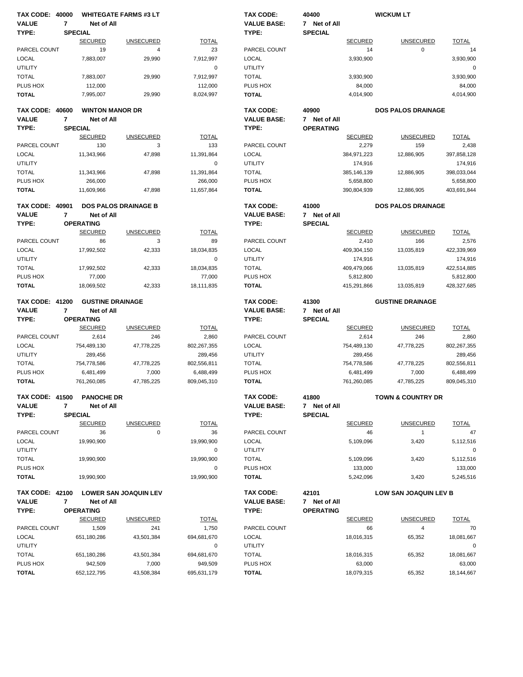|                          | <b>TAX CODE: 40000</b> |                                    | <b>WHITEGATE FARMS #3 LT</b> |                        | <b>TAX CODE:</b>         | 40400            |                      | <b>WICKUM LT</b>             |                      |
|--------------------------|------------------------|------------------------------------|------------------------------|------------------------|--------------------------|------------------|----------------------|------------------------------|----------------------|
| <b>VALUE</b>             | $\overline{7}$         | Net of All                         |                              |                        | <b>VALUE BASE:</b>       | 7 Net of All     |                      |                              |                      |
| TYPE:                    |                        | <b>SPECIAL</b>                     |                              |                        | TYPE:                    | <b>SPECIAL</b>   |                      |                              |                      |
|                          |                        | <b>SECURED</b>                     | <b>UNSECURED</b>             | <b>TOTAL</b>           |                          |                  | <b>SECURED</b>       | <b>UNSECURED</b>             | <b>TOTAL</b>         |
| PARCEL COUNT             |                        | 19                                 | $\overline{4}$               | 23                     | PARCEL COUNT             |                  | 14                   | $\mathbf 0$                  | 14                   |
| <b>LOCAL</b>             |                        | 7,883,007                          | 29,990                       | 7,912,997              | <b>LOCAL</b>             |                  | 3,930,900            |                              | 3,930,900            |
| <b>UTILITY</b>           |                        |                                    |                              | 0                      | <b>UTILITY</b>           |                  |                      |                              | 0                    |
| <b>TOTAL</b>             |                        | 7,883,007                          | 29,990                       | 7,912,997              | <b>TOTAL</b>             |                  | 3,930,900            |                              | 3,930,900            |
| PLUS HOX                 |                        | 112,000                            |                              | 112,000                | PLUS HOX                 |                  | 84,000               |                              | 84,000               |
| <b>TOTAL</b>             |                        | 7,995,007                          | 29,990                       | 8,024,997              | <b>TOTAL</b>             |                  | 4,014,900            |                              | 4,014,900            |
| <b>TAX CODE: 40600</b>   |                        | <b>WINTON MANOR DR</b>             |                              |                        | TAX CODE:                | 40900            |                      | <b>DOS PALOS DRAINAGE</b>    |                      |
| <b>VALUE</b>             | 7                      | Net of All                         |                              |                        | <b>VALUE BASE:</b>       | 7 Net of All     |                      |                              |                      |
| TYPE:                    |                        | <b>SPECIAL</b>                     |                              |                        | TYPE:                    | <b>OPERATING</b> |                      |                              |                      |
|                          |                        | <b>SECURED</b>                     | <b>UNSECURED</b>             | <b>TOTAL</b>           |                          |                  | <b>SECURED</b>       | <b>UNSECURED</b>             | <b>TOTAL</b>         |
| PARCEL COUNT             |                        | 130                                | 3                            | 133                    | PARCEL COUNT             |                  | 2,279                | 159                          | 2,438                |
| <b>LOCAL</b>             |                        | 11,343,966                         | 47,898                       | 11,391,864             | LOCAL                    |                  | 384,971,223          | 12,886,905                   | 397,858,128          |
| <b>UTILITY</b>           |                        |                                    |                              | $\mathbf 0$            | <b>UTILITY</b>           |                  | 174,916              |                              | 174,916              |
| <b>TOTAL</b>             |                        | 11,343,966                         | 47,898                       | 11,391,864             | <b>TOTAL</b>             |                  | 385,146,139          | 12,886,905                   | 398,033,044          |
| PLUS HOX                 |                        | 266,000                            |                              | 266,000                | PLUS HOX                 |                  | 5,658,800            |                              | 5,658,800            |
| <b>TOTAL</b>             |                        | 11,609,966                         | 47,898                       | 11,657,864             | <b>TOTAL</b>             |                  | 390,804,939          | 12,886,905                   | 403,691,844          |
| <b>TAX CODE: 40901</b>   |                        |                                    | <b>DOS PALOS DRAINAGE B</b>  |                        | <b>TAX CODE:</b>         | 41000            |                      | <b>DOS PALOS DRAINAGE</b>    |                      |
| <b>VALUE</b>             | $\overline{7}$         | Net of All                         |                              |                        | <b>VALUE BASE:</b>       | 7 Net of All     |                      |                              |                      |
| TYPE:                    |                        | <b>OPERATING</b>                   |                              |                        | TYPE:                    | <b>SPECIAL</b>   |                      |                              |                      |
|                          |                        | <b>SECURED</b>                     | <b>UNSECURED</b>             | <b>TOTAL</b>           |                          |                  | <b>SECURED</b>       | <b>UNSECURED</b>             | <b>TOTAL</b>         |
| PARCEL COUNT             |                        | 86                                 | 3                            | 89                     | PARCEL COUNT             |                  | 2,410                | 166                          | 2,576                |
| <b>LOCAL</b>             |                        | 17,992,502                         | 42,333                       | 18,034,835             | <b>LOCAL</b>             |                  | 409,304,150          | 13,035,819                   | 422,339,969          |
| <b>UTILITY</b>           |                        |                                    |                              | 0                      | <b>UTILITY</b>           |                  | 174,916              |                              | 174,916              |
| <b>TOTAL</b>             |                        | 17,992,502                         | 42,333                       | 18,034,835             | <b>TOTAL</b>             |                  | 409,479,066          | 13,035,819                   | 422,514,885          |
| PLUS HOX                 |                        | 77,000                             |                              | 77,000                 | PLUS HOX                 |                  | 5,812,800            |                              | 5,812,800            |
| <b>TOTAL</b>             |                        | 18,069,502                         | 42,333                       | 18,111,835             | <b>TOTAL</b>             |                  | 415,291,866          | 13,035,819                   | 428,327,685          |
|                          |                        |                                    |                              |                        |                          |                  |                      |                              |                      |
| <b>TAX CODE: 41200</b>   |                        | <b>GUSTINE DRAINAGE</b>            |                              |                        | <b>TAX CODE:</b>         | 41300            |                      | <b>GUSTINE DRAINAGE</b>      |                      |
| <b>VALUE</b>             | 7                      | Net of All                         |                              |                        | <b>VALUE BASE:</b>       |                  |                      |                              |                      |
|                          |                        |                                    |                              |                        |                          | 7 Net of All     |                      |                              |                      |
| TYPE:                    |                        | <b>OPERATING</b>                   |                              |                        | TYPE:                    | <b>SPECIAL</b>   |                      |                              |                      |
|                          |                        | <b>SECURED</b>                     | <b>UNSECURED</b>             | <b>TOTAL</b>           |                          |                  | <b>SECURED</b>       | <b>UNSECURED</b>             | <b>TOTAL</b>         |
| PARCEL COUNT             |                        | 2,614                              | 246                          | 2,860                  | PARCEL COUNT             |                  | 2,614                | 246                          | 2,860                |
| <b>LOCAL</b>             |                        | 754,489,130                        | 47,778,225                   | 802,267,355            | LOCAL                    |                  | 754,489,130          | 47,778,225                   | 802,267,355          |
| <b>UTILITY</b>           |                        | 289,456                            |                              | 289,456                | <b>UTILITY</b>           |                  | 289,456              |                              | 289,456              |
| <b>TOTAL</b>             |                        | 754,778,586                        | 47,778,225                   | 802,556,811            | <b>TOTAL</b>             |                  | 754,778,586          | 47,778,225                   | 802,556,811          |
| PLUS HOX                 |                        | 6,481,499                          | 7,000                        | 6,488,499              | PLUS HOX                 |                  | 6,481,499            | 7,000                        | 6,488,499            |
| <b>TOTAL</b>             |                        | 761,260,085                        | 47,785,225                   | 809,045,310            | <b>TOTAL</b>             |                  | 761,260,085          | 47,785,225                   | 809,045,310          |
| <b>TAX CODE: 41500</b>   |                        | <b>PANOCHE DR</b>                  |                              |                        | TAX CODE:                | 41800            |                      | <b>TOWN &amp; COUNTRY DR</b> |                      |
| <b>VALUE</b>             | 7                      | Net of All                         |                              |                        | <b>VALUE BASE:</b>       | 7 Net of All     |                      |                              |                      |
| TYPE:                    |                        | <b>SPECIAL</b>                     |                              |                        | TYPE:                    | <b>SPECIAL</b>   |                      |                              |                      |
|                          |                        | <b>SECURED</b>                     | <b>UNSECURED</b>             | <b>TOTAL</b>           |                          |                  | <b>SECURED</b>       | <b>UNSECURED</b>             | <b>TOTAL</b>         |
| PARCEL COUNT             |                        | 36                                 | $\pmb{0}$                    | 36                     | PARCEL COUNT             |                  | 46                   | $\mathbf{1}$                 | 47                   |
| LOCAL                    |                        | 19,990,900                         |                              | 19,990,900             | LOCAL                    |                  | 5,109,096            | 3,420                        | 5,112,516            |
| <b>UTILITY</b>           |                        |                                    |                              | 0                      | <b>UTILITY</b>           |                  |                      |                              | 0                    |
| <b>TOTAL</b>             |                        |                                    |                              | 19,990,900             |                          |                  |                      |                              |                      |
|                          |                        | 19,990,900                         |                              |                        | <b>TOTAL</b>             |                  | 5,109,096            | 3,420                        | 5,112,516            |
| PLUS HOX<br><b>TOTAL</b> |                        | 19,990,900                         |                              | 0<br>19,990,900        | PLUS HOX<br><b>TOTAL</b> |                  | 133,000<br>5,242,096 | 3,420                        | 133,000<br>5,245,516 |
| <b>TAX CODE: 42100</b>   |                        |                                    | <b>LOWER SAN JOAQUIN LEV</b> |                        | TAX CODE:                | 42101            |                      | LOW SAN JOAQUIN LEV B        |                      |
| <b>VALUE</b>             | $\overline{7}$         | Net of All                         |                              |                        | <b>VALUE BASE:</b>       | 7 Net of All     |                      |                              |                      |
|                          |                        |                                    |                              |                        |                          | <b>OPERATING</b> |                      |                              |                      |
| TYPE:                    |                        | <b>OPERATING</b><br><b>SECURED</b> | <b>UNSECURED</b>             | <b>TOTAL</b>           | TYPE:                    |                  | <b>SECURED</b>       | <b>UNSECURED</b>             |                      |
|                          |                        |                                    |                              |                        |                          |                  |                      |                              | <b>TOTAL</b>         |
| PARCEL COUNT             |                        | 1,509                              | 241                          | 1,750                  | PARCEL COUNT             |                  | 66                   | 4                            | 70                   |
| LOCAL                    |                        | 651,180,286                        | 43,501,384                   | 694,681,670            | <b>LOCAL</b>             |                  | 18,016,315           | 65,352                       | 18,081,667           |
| <b>UTILITY</b>           |                        |                                    |                              | 0                      | <b>UTILITY</b>           |                  |                      |                              | 0                    |
| <b>TOTAL</b>             |                        | 651,180,286                        | 43,501,384                   | 694,681,670            | <b>TOTAL</b>             |                  | 18,016,315           | 65,352                       | 18,081,667           |
| PLUS HOX<br><b>TOTAL</b> |                        | 942,509<br>652, 122, 795           | 7,000<br>43,508,384          | 949,509<br>695,631,179 | PLUS HOX<br><b>TOTAL</b> |                  | 63,000<br>18,079,315 | 65,352                       | 63,000<br>18,144,667 |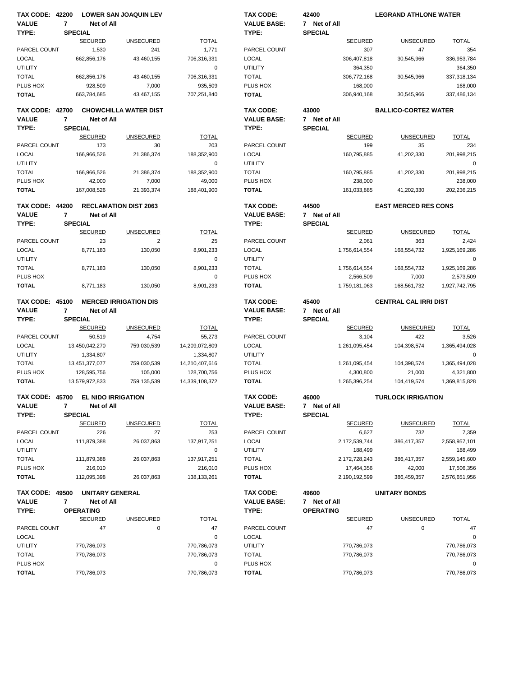| <b>TAX CODE: 42200</b>   |                              | <b>LOWER SAN JOAQUIN LEV</b> |                          | <b>TAX CODE:</b>         | 42400            | <b>LEGRAND ATHLONE WATER</b> |                  |
|--------------------------|------------------------------|------------------------------|--------------------------|--------------------------|------------------|------------------------------|------------------|
| <b>VALUE</b>             | $\overline{7}$<br>Net of All |                              |                          | <b>VALUE BASE:</b>       | 7 Net of All     |                              |                  |
| TYPE:                    | <b>SPECIAL</b>               |                              |                          | TYPE:                    | <b>SPECIAL</b>   |                              |                  |
|                          | <b>SECURED</b>               | <b>UNSECURED</b>             | <b>TOTAL</b>             |                          | <b>SECURED</b>   | <b>UNSECURED</b>             | <b>TOTAL</b>     |
| PARCEL COUNT             | 1,530                        | 241                          | 1,771                    | PARCEL COUNT             | 307              | 47                           | 354              |
| <b>LOCAL</b>             | 662,856,176                  | 43,460,155                   | 706,316,331              | LOCAL                    | 306,407,818      | 30,545,966                   | 336,953,784      |
| <b>UTILITY</b>           |                              |                              | 0                        | <b>UTILITY</b>           | 364,350          |                              | 364,350          |
| <b>TOTAL</b>             | 662,856,176                  | 43,460,155                   | 706,316,331              | <b>TOTAL</b>             | 306,772,168      | 30,545,966                   | 337,318,134      |
| PLUS HOX                 |                              |                              |                          | PLUS HOX                 |                  |                              | 168,000          |
|                          | 928,509                      | 7,000                        | 935,509                  |                          | 168,000          |                              |                  |
| <b>TOTAL</b>             | 663,784,685                  | 43,467,155                   | 707,251,840              | <b>TOTAL</b>             | 306,940,168      | 30,545,966                   | 337,486,134      |
| <b>TAX CODE: 42700</b>   |                              | <b>CHOWCHILLA WATER DIST</b> |                          | <b>TAX CODE:</b>         | 43000            | <b>BALLICO-CORTEZ WATER</b>  |                  |
| <b>VALUE</b>             | 7<br>Net of All              |                              |                          | <b>VALUE BASE:</b>       | 7 Net of All     |                              |                  |
|                          | <b>SPECIAL</b>               |                              |                          |                          |                  |                              |                  |
| TYPE:                    |                              |                              |                          | TYPE:                    | <b>SPECIAL</b>   |                              |                  |
|                          | <b>SECURED</b>               | <b>UNSECURED</b>             | <b>TOTAL</b>             |                          | <b>SECURED</b>   | <b>UNSECURED</b>             | <b>TOTAL</b>     |
| PARCEL COUNT             | 173                          | 30                           | 203                      | PARCEL COUNT             | 199              | 35                           | 234              |
| <b>LOCAL</b>             | 166,966,526                  | 21,386,374                   | 188,352,900              | <b>LOCAL</b>             | 160,795,885      | 41,202,330                   | 201,998,215      |
| <b>UTILITY</b>           |                              |                              | $\mathbf 0$              | <b>UTILITY</b>           |                  |                              | $\mathbf 0$      |
| <b>TOTAL</b>             | 166,966,526                  | 21,386,374                   | 188,352,900              | <b>TOTAL</b>             | 160,795,885      | 41,202,330                   | 201,998,215      |
| PLUS HOX                 | 42,000                       | 7,000                        | 49,000                   | PLUS HOX                 | 238,000          |                              | 238,000          |
| <b>TOTAL</b>             | 167,008,526                  | 21,393,374                   | 188,401,900              | <b>TOTAL</b>             | 161,033,885      | 41,202,330                   | 202,236,215      |
|                          |                              |                              |                          |                          |                  |                              |                  |
| <b>TAX CODE: 44200</b>   |                              | <b>RECLAMATION DIST 2063</b> |                          | <b>TAX CODE:</b>         | 44500            | <b>EAST MERCED RES CONS</b>  |                  |
| <b>VALUE</b>             | $\overline{7}$<br>Net of All |                              |                          | <b>VALUE BASE:</b>       | 7 Net of All     |                              |                  |
| TYPE:                    | <b>SPECIAL</b>               |                              |                          | TYPE:                    | <b>SPECIAL</b>   |                              |                  |
|                          | <b>SECURED</b>               | <b>UNSECURED</b>             | <b>TOTAL</b>             |                          | <b>SECURED</b>   | <b>UNSECURED</b>             | <b>TOTAL</b>     |
| PARCEL COUNT             | 23                           | $\overline{2}$               | 25                       | PARCEL COUNT             | 2,061            | 363                          | 2,424            |
| <b>LOCAL</b>             | 8,771,183                    | 130,050                      | 8,901,233                | <b>LOCAL</b>             | 1,756,614,554    | 168,554,732                  | 1,925,169,286    |
| <b>UTILITY</b>           |                              |                              | 0                        | <b>UTILITY</b>           |                  |                              | $\mathbf 0$      |
| <b>TOTAL</b>             | 8,771,183                    | 130,050                      | 8,901,233                | <b>TOTAL</b>             | 1,756,614,554    | 168,554,732                  | 1,925,169,286    |
| PLUS HOX                 |                              |                              | 0                        | PLUS HOX                 | 2,566,509        | 7,000                        | 2,573,509        |
| <b>TOTAL</b>             | 8,771,183                    | 130,050                      | 8,901,233                | <b>TOTAL</b>             | 1,759,181,063    | 168,561,732                  | 1,927,742,795    |
|                          |                              |                              |                          |                          |                  |                              |                  |
|                          |                              |                              |                          |                          |                  |                              |                  |
|                          |                              |                              |                          |                          |                  |                              |                  |
| <b>TAX CODE: 45100</b>   |                              | <b>MERCED IRRIGATION DIS</b> |                          | <b>TAX CODE:</b>         | 45400            | <b>CENTRAL CAL IRRI DIST</b> |                  |
| <b>VALUE</b>             | 7<br>Net of All              |                              |                          | <b>VALUE BASE:</b>       | 7 Net of All     |                              |                  |
| TYPE:                    | <b>SPECIAL</b>               |                              |                          | TYPE:                    | <b>SPECIAL</b>   |                              |                  |
|                          | <b>SECURED</b>               | <b>UNSECURED</b>             | <b>TOTAL</b>             |                          | <b>SECURED</b>   | <b>UNSECURED</b>             | <b>TOTAL</b>     |
| PARCEL COUNT             | 50,519                       | 4,754                        | 55,273                   | PARCEL COUNT             | 3,104            | 422                          | 3,526            |
| <b>LOCAL</b>             | 13,450,042,270               | 759,030,539                  | 14,209,072,809           | <b>LOCAL</b>             | 1,261,095,454    | 104,398,574                  | 1,365,494,028    |
| <b>UTILITY</b>           | 1,334,807                    |                              | 1,334,807                | <b>UTILITY</b>           |                  |                              | 0                |
| <b>TOTAL</b>             | 13,451,377,077               | 759,030,539                  | 14,210,407,616           | <b>TOTAL</b>             | 1,261,095,454    | 104,398,574                  | 1,365,494,028    |
| PLUS HOX                 | 128,595,756                  | 105.000                      | 128,700,756              | PLUS HOX                 | 4,300,800        | 21,000                       | 4,321,800        |
| <b>TOTAL</b>             | 13,579,972,833               | 759,135,539                  | 14.339.108.372           | <b>TOTAL</b>             | 1,265,396,254    | 104,419,574                  | 1,369,815,828    |
|                          |                              |                              |                          |                          |                  |                              |                  |
| <b>TAX CODE: 45700</b>   |                              | <b>EL NIDO IRRIGATION</b>    |                          | TAX CODE:                | 46000            | <b>TURLOCK IRRIGATION</b>    |                  |
| <b>VALUE</b>             | Net of All<br>7              |                              |                          | <b>VALUE BASE:</b>       | 7 Net of All     |                              |                  |
| TYPE:                    | <b>SPECIAL</b>               |                              |                          | TYPE:                    | <b>SPECIAL</b>   |                              |                  |
|                          | <b>SECURED</b>               | <b>UNSECURED</b>             | <b>TOTAL</b>             |                          | <b>SECURED</b>   | <b>UNSECURED</b>             | <b>TOTAL</b>     |
|                          |                              |                              |                          |                          |                  |                              |                  |
| PARCEL COUNT             | 226                          | 27                           | 253                      | PARCEL COUNT             | 6,627            | 732                          | 7,359            |
| LOCAL                    | 111,879,388                  | 26,037,863                   | 137,917,251              | <b>LOCAL</b>             | 2,172,539,744    | 386,417,357                  | 2,558,957,101    |
| <b>UTILITY</b>           |                              |                              | 0                        | <b>UTILITY</b>           | 188,499          |                              | 188,499          |
| <b>TOTAL</b>             | 111,879,388                  | 26,037,863                   | 137,917,251              | <b>TOTAL</b>             | 2,172,728,243    | 386,417,357                  | 2,559,145,600    |
| PLUS HOX                 | 216,010                      |                              | 216,010                  | PLUS HOX                 | 17,464,356       | 42,000                       | 17,506,356       |
| <b>TOTAL</b>             | 112,095,398                  | 26,037,863                   | 138, 133, 261            | <b>TOTAL</b>             | 2,190,192,599    | 386,459,357                  | 2,576,651,956    |
|                          |                              |                              |                          |                          |                  |                              |                  |
| <b>TAX CODE: 49500</b>   |                              | <b>UNITARY GENERAL</b>       |                          | TAX CODE:                | 49600            | <b>UNITARY BONDS</b>         |                  |
| <b>VALUE</b>             | $\overline{7}$<br>Net of All |                              |                          | <b>VALUE BASE:</b>       | 7 Net of All     |                              |                  |
| TYPE:                    | <b>OPERATING</b>             |                              |                          | TYPE:                    | <b>OPERATING</b> |                              |                  |
|                          | <b>SECURED</b>               | <b>UNSECURED</b>             | <b>TOTAL</b>             |                          | <b>SECURED</b>   | <b>UNSECURED</b>             | <b>TOTAL</b>     |
| PARCEL COUNT             | 47                           | 0                            | 47                       | PARCEL COUNT             | 47               | 0                            | 47               |
| LOCAL                    |                              |                              | 0                        | <b>LOCAL</b>             |                  |                              | 0                |
| <b>UTILITY</b>           | 770,786,073                  |                              | 770,786,073              | <b>UTILITY</b>           | 770,786,073      |                              | 770,786,073      |
|                          |                              |                              |                          |                          |                  |                              |                  |
| <b>TOTAL</b>             | 770,786,073                  |                              | 770,786,073              | <b>TOTAL</b>             | 770,786,073      |                              | 770,786,073      |
| PLUS HOX<br><b>TOTAL</b> | 770,786,073                  |                              | $\pmb{0}$<br>770,786,073 | PLUS HOX<br><b>TOTAL</b> | 770,786,073      |                              | 0<br>770,786,073 |